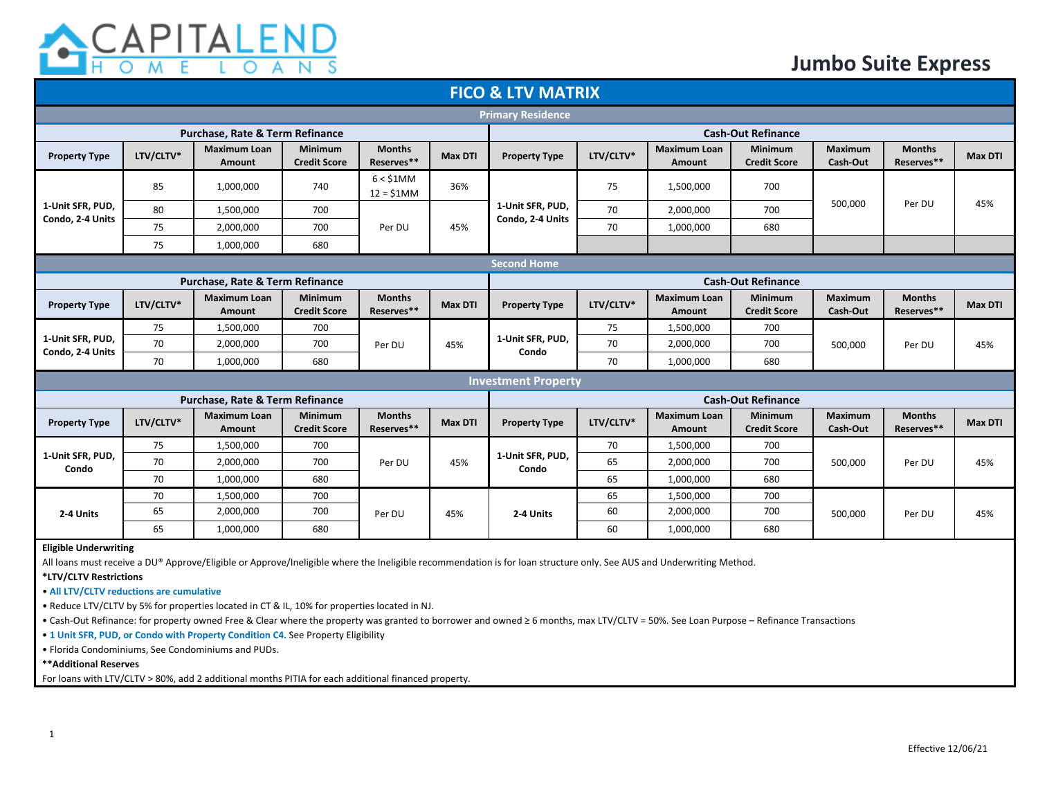

| <b>FICO &amp; LTV MATRIX</b>         |                                                                                                                                                                                                                                                                            |                                      |                                       |                             |                                  |                            |                                                                                                                                                         |                                      |                                       |                            |                             |                |
|--------------------------------------|----------------------------------------------------------------------------------------------------------------------------------------------------------------------------------------------------------------------------------------------------------------------------|--------------------------------------|---------------------------------------|-----------------------------|----------------------------------|----------------------------|---------------------------------------------------------------------------------------------------------------------------------------------------------|--------------------------------------|---------------------------------------|----------------------------|-----------------------------|----------------|
| <b>Primary Residence</b>             |                                                                                                                                                                                                                                                                            |                                      |                                       |                             |                                  |                            |                                                                                                                                                         |                                      |                                       |                            |                             |                |
|                                      | Purchase, Rate & Term Refinance                                                                                                                                                                                                                                            |                                      | <b>Cash-Out Refinance</b>             |                             |                                  |                            |                                                                                                                                                         |                                      |                                       |                            |                             |                |
| <b>Property Type</b>                 | LTV/CLTV*                                                                                                                                                                                                                                                                  | <b>Maximum Loan</b><br><b>Amount</b> | Minimum<br><b>Credit Score</b>        | <b>Months</b><br>Reserves** | <b>Max DTI</b>                   | <b>Property Type</b>       | LTV/CLTV*                                                                                                                                               | <b>Maximum Loan</b><br><b>Amount</b> | <b>Minimum</b><br><b>Credit Score</b> | Maximum<br>Cash-Out        | <b>Months</b><br>Reserves** | <b>Max DTI</b> |
|                                      | 85                                                                                                                                                                                                                                                                         | 1,000,000                            | 740                                   | 6 < \$1MM<br>$12 = $1MM$    | 36%                              | 75                         | 1,500,000                                                                                                                                               | 700                                  |                                       |                            |                             |                |
| 1-Unit SFR, PUD,                     | 80                                                                                                                                                                                                                                                                         | 1,500,000                            | 700                                   |                             |                                  | 1-Unit SFR, PUD,           | 70                                                                                                                                                      | 2,000,000                            | 700                                   | 500,000                    | Per DU                      | 45%            |
| Condo, 2-4 Units                     | 75                                                                                                                                                                                                                                                                         | 2,000,000                            | 700                                   | Per DU                      | 45%                              | Condo, 2-4 Units           | 70                                                                                                                                                      | 1,000,000                            | 680                                   |                            |                             |                |
|                                      | 75                                                                                                                                                                                                                                                                         | 1,000,000                            | 680                                   |                             |                                  |                            |                                                                                                                                                         |                                      |                                       |                            |                             |                |
|                                      |                                                                                                                                                                                                                                                                            |                                      |                                       |                             |                                  | <b>Second Home</b>         |                                                                                                                                                         |                                      |                                       |                            |                             |                |
|                                      |                                                                                                                                                                                                                                                                            | Purchase, Rate & Term Refinance      |                                       |                             |                                  |                            |                                                                                                                                                         |                                      | <b>Cash-Out Refinance</b>             |                            |                             |                |
| <b>Property Type</b>                 | LTV/CLTV*                                                                                                                                                                                                                                                                  | <b>Maximum Loan</b><br>Amount        | <b>Minimum</b><br><b>Credit Score</b> | <b>Months</b><br>Reserves** | <b>Max DTI</b>                   | <b>Property Type</b>       | LTV/CLTV*                                                                                                                                               | <b>Maximum Loan</b><br><b>Amount</b> | <b>Minimum</b><br><b>Credit Score</b> | <b>Maximum</b><br>Cash-Out | <b>Months</b><br>Reserves** | Max DTI        |
|                                      | 75                                                                                                                                                                                                                                                                         | 1,500,000                            | 700                                   |                             | 1-Unit SFR, PUD,<br>45%<br>Condo |                            | 75                                                                                                                                                      | 1,500,000                            | 700                                   |                            |                             |                |
| 1-Unit SFR, PUD,<br>Condo, 2-4 Units | 70                                                                                                                                                                                                                                                                         | 2,000,000                            | 700                                   | Per DU                      |                                  | 70                         | 2,000,000                                                                                                                                               | 700                                  | 500,000                               | Per DU                     | 45%                         |                |
|                                      | 70                                                                                                                                                                                                                                                                         | 1,000,000                            | 680                                   |                             |                                  |                            | 70                                                                                                                                                      | 1,000,000                            | 680                                   |                            |                             |                |
|                                      |                                                                                                                                                                                                                                                                            |                                      |                                       |                             |                                  | <b>Investment Property</b> |                                                                                                                                                         |                                      |                                       |                            |                             |                |
|                                      |                                                                                                                                                                                                                                                                            | Purchase, Rate & Term Refinance      |                                       |                             |                                  |                            |                                                                                                                                                         |                                      | <b>Cash-Out Refinance</b>             |                            |                             |                |
| <b>Property Type</b>                 | LTV/CLTV*                                                                                                                                                                                                                                                                  | <b>Maximum Loan</b><br>Amount        | <b>Minimum</b><br><b>Credit Score</b> | <b>Months</b><br>Reserves** | <b>Max DTI</b>                   | <b>Property Type</b>       | <b>Maximum Loan</b><br><b>Minimum</b><br><b>Maximum</b><br><b>Months</b><br>LTV/CLTV*<br>Reserves**<br><b>Credit Score</b><br>Cash-Out<br><b>Amount</b> |                                      |                                       |                            | Max DTI                     |                |
|                                      | 75                                                                                                                                                                                                                                                                         | 1,500,000                            | 700                                   |                             |                                  |                            | 70                                                                                                                                                      | 1,500,000                            | 700                                   |                            |                             |                |
| 1-Unit SFR, PUD,<br>Condo            | 70                                                                                                                                                                                                                                                                         | 2,000,000                            | 700                                   | Per DU                      | 45%                              | 1-Unit SFR, PUD,<br>Condo  | 65                                                                                                                                                      | 2,000,000                            | 700                                   | 500,000                    | Per DU                      | 45%            |
|                                      | 70                                                                                                                                                                                                                                                                         | 1,000,000                            | 680                                   |                             |                                  |                            | 65                                                                                                                                                      | 1,000,000                            | 680                                   |                            |                             |                |
|                                      | 70                                                                                                                                                                                                                                                                         | 1,500,000                            | 700                                   |                             |                                  |                            | 65                                                                                                                                                      | 1,500,000                            | 700                                   |                            |                             |                |
| 2-4 Units                            | 65                                                                                                                                                                                                                                                                         | 2,000,000                            | 700                                   | Per DU                      | 45%                              | 2-4 Units                  | 60                                                                                                                                                      | 2,000,000                            | 700                                   | 500,000                    | Per DU                      | 45%            |
|                                      | 65                                                                                                                                                                                                                                                                         | 1,000,000                            | 680                                   |                             |                                  |                            | 60                                                                                                                                                      | 1,000,000                            | 680                                   |                            |                             |                |
|                                      | <b>Eligible Underwriting</b><br>All loans must receive a DU® Approve/Eligible or Approve/Ineligible where the Ineligible recommendation is for loan structure only. See AUS and Underwriting Method.<br>*LTV/CLTV Restrictions<br>• All LTV/CLTV reductions are cumulative |                                      |                                       |                             |                                  |                            |                                                                                                                                                         |                                      |                                       |                            |                             |                |

• Reduce LTV/CLTV by 5% for properties located in CT & IL, 10% for properties located in NJ.

• Cash-Out Refinance: for property owned Free & Clear where the property was granted to borrower and owned ≥ 6 months, max LTV/CLTV = 50%. See Loan Purpose – Refinance Transactions

• **1 Unit SFR, PUD, or Condo with Property Condition C4.** See Property Eligibility

• Florida Condominiums, See Condominiums and PUDs.

**\*\*Additional Reserves** 

For loans with LTV/CLTV > 80%, add 2 additional months PITIA for each additional financed property.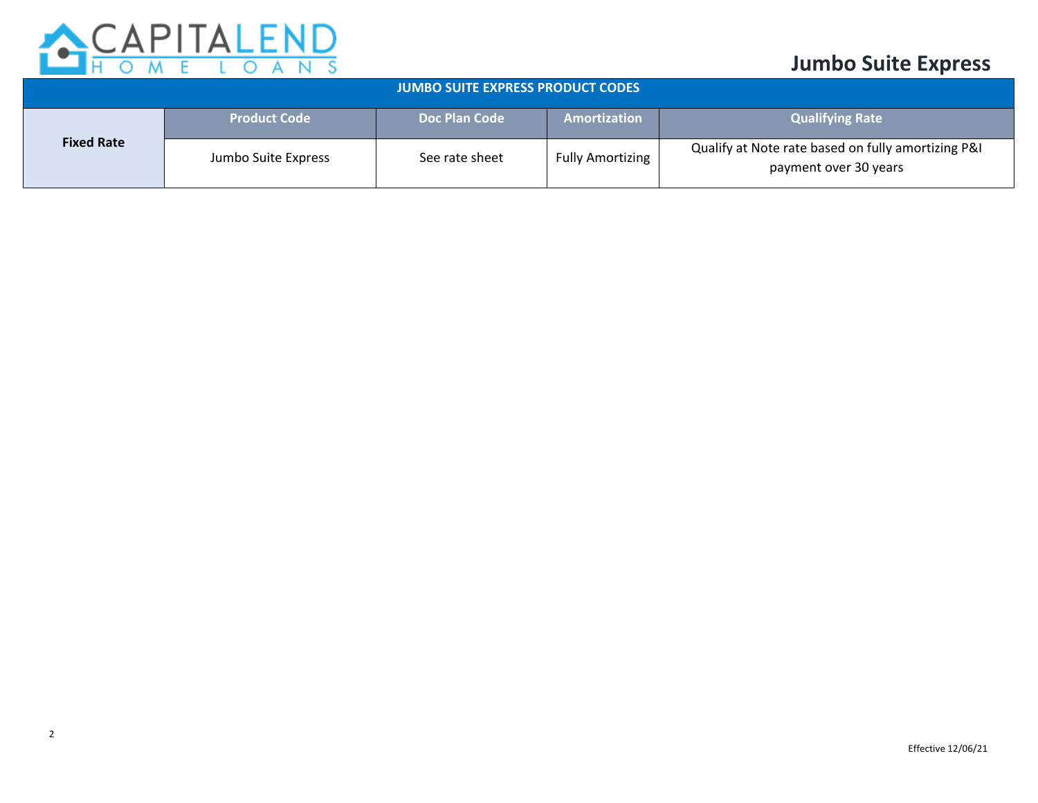

| <b>JUMBO SUITE EXPRESS PRODUCT CODES</b> |                     |                |                         |                                                                             |  |  |  |  |
|------------------------------------------|---------------------|----------------|-------------------------|-----------------------------------------------------------------------------|--|--|--|--|
|                                          | <b>Product Code</b> | Doc Plan Code  | Amortization            | <b>Qualifying Rate</b>                                                      |  |  |  |  |
| <b>Fixed Rate</b>                        | Jumbo Suite Express | See rate sheet | <b>Fully Amortizing</b> | Qualify at Note rate based on fully amortizing P&I<br>payment over 30 years |  |  |  |  |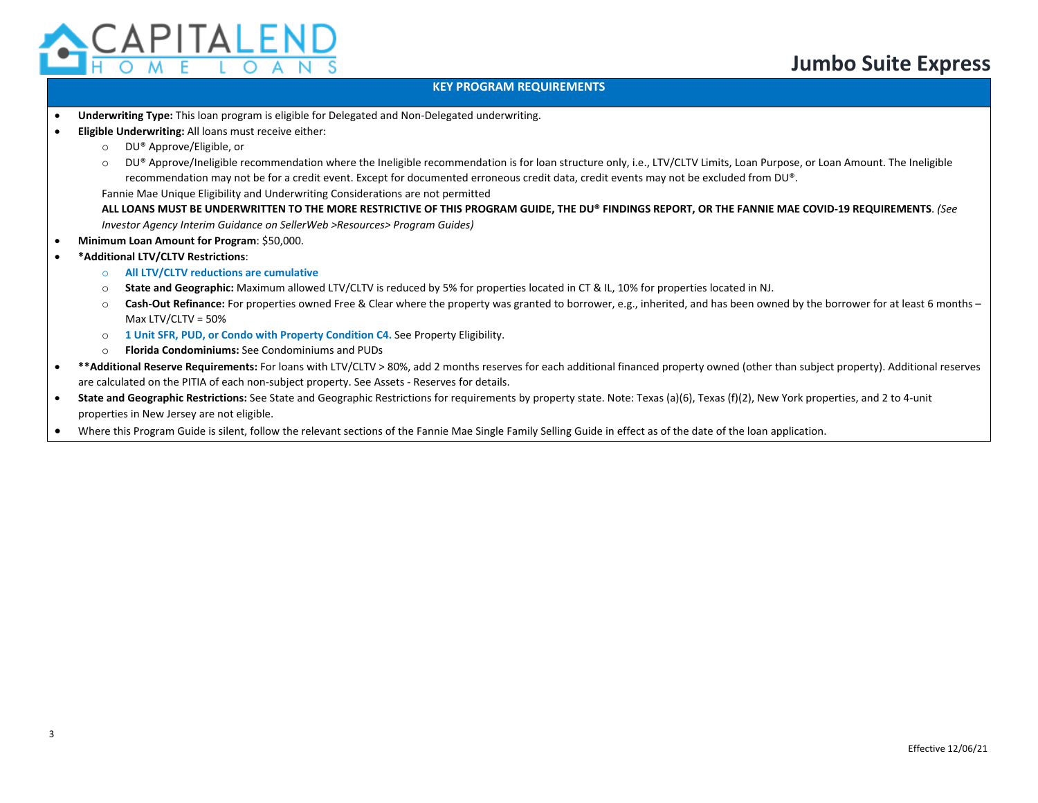

#### **KEY PROGRAM REQUIREMENTS**

- **Underwriting Type:** This loan program is eligible for Delegated and Non-Delegated underwriting.
- **Eligible Underwriting:** All loans must receive either:
	- o DU® Approve/Eligible, or
	- $\circ$  DU® Approve/Ineligible recommendation where the Ineligible recommendation is for loan structure only, i.e., LTV/CLTV Limits, Loan Purpose, or Loan Amount. The Ineligible recommendation may not be for a credit event. Except for documented erroneous credit data, credit events may not be excluded from DU®.

Fannie Mae Unique Eligibility and Underwriting Considerations are not permitted

**ALL LOANS MUST BE UNDERWRITTEN TO THE MORE RESTRICTIVE OF THIS PROGRAM GUIDE, THE DU® FINDINGS REPORT, OR THE FANNIE MAE COVID-19 REQUIREMENTS**. *(See Investor Agency Interim Guidance on SellerWeb >Resources> Program Guides)*

- **Minimum Loan Amount for Program**: \$50,000.
- **\*Additional LTV/CLTV Restrictions**:
	- o **All LTV/CLTV reductions are cumulative**
	- o **State and Geographic:** Maximum allowed LTV/CLTV is reduced by 5% for properties located in CT & IL, 10% for properties located in NJ.
	- o **Cash-Out Refinance:** For properties owned Free & Clear where the property was granted to borrower, e.g., inherited, and has been owned by the borrower for at least 6 months Max LTV/CLTV = 50%
	- o **1 Unit SFR, PUD, or Condo with Property Condition C4.** See Property Eligibility.
	- o **Florida Condominiums:** See Condominiums and PUDs
- **\*\*Additional Reserve Requirements:** For loans with LTV/CLTV > 80%, add 2 months reserves for each additional financed property owned (other than subject property). Additional reserves are calculated on the PITIA of each non-subject property. See Assets - Reserves for details.
- **State and Geographic Restrictions:** See State and Geographic Restrictions for requirements by property state. Note: Texas (a)(6), Texas (f)(2), New York properties, and 2 to 4-unit properties in New Jersey are not eligible.
- Where this Program Guide is silent, follow the relevant sections of the Fannie Mae Single Family Selling Guide in effect as of the date of the loan application.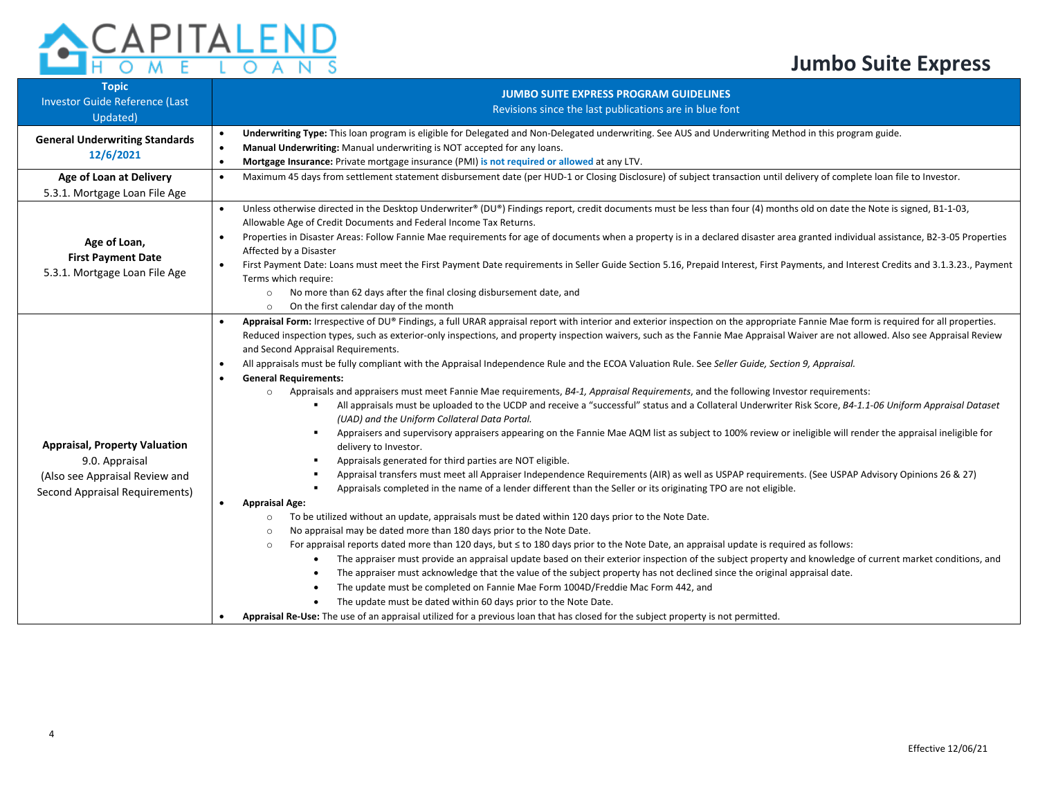

| <b>Topic</b><br><b>Investor Guide Reference (Last</b><br>Updated)                                                          | <b>JUMBO SUITE EXPRESS PROGRAM GUIDELINES</b><br>Revisions since the last publications are in blue font                                                                                                                                                                                                                                                                                                                                                                                                                                                                                                                                                                                                                                                                                                                                                                                                                                                                                                                                                                                                                                                                                                                                                                                                                                                                                                                                                                                                                                                                                                                                                                                                                                                                                                                                                                                                                                                                                                                                                                                                                                                                                                                                                                                                                                                                                                                                                                                                                                     |  |  |  |  |  |  |
|----------------------------------------------------------------------------------------------------------------------------|---------------------------------------------------------------------------------------------------------------------------------------------------------------------------------------------------------------------------------------------------------------------------------------------------------------------------------------------------------------------------------------------------------------------------------------------------------------------------------------------------------------------------------------------------------------------------------------------------------------------------------------------------------------------------------------------------------------------------------------------------------------------------------------------------------------------------------------------------------------------------------------------------------------------------------------------------------------------------------------------------------------------------------------------------------------------------------------------------------------------------------------------------------------------------------------------------------------------------------------------------------------------------------------------------------------------------------------------------------------------------------------------------------------------------------------------------------------------------------------------------------------------------------------------------------------------------------------------------------------------------------------------------------------------------------------------------------------------------------------------------------------------------------------------------------------------------------------------------------------------------------------------------------------------------------------------------------------------------------------------------------------------------------------------------------------------------------------------------------------------------------------------------------------------------------------------------------------------------------------------------------------------------------------------------------------------------------------------------------------------------------------------------------------------------------------------------------------------------------------------------------------------------------------------|--|--|--|--|--|--|
| <b>General Underwriting Standards</b><br>12/6/2021                                                                         | Underwriting Type: This loan program is eligible for Delegated and Non-Delegated underwriting. See AUS and Underwriting Method in this program guide.<br>$\bullet$<br>Manual Underwriting: Manual underwriting is NOT accepted for any loans.<br>$\bullet$<br>Mortgage Insurance: Private mortgage insurance (PMI) is not required or allowed at any LTV.<br>$\bullet$                                                                                                                                                                                                                                                                                                                                                                                                                                                                                                                                                                                                                                                                                                                                                                                                                                                                                                                                                                                                                                                                                                                                                                                                                                                                                                                                                                                                                                                                                                                                                                                                                                                                                                                                                                                                                                                                                                                                                                                                                                                                                                                                                                      |  |  |  |  |  |  |
| Age of Loan at Delivery<br>5.3.1. Mortgage Loan File Age                                                                   | Maximum 45 days from settlement statement disbursement date (per HUD-1 or Closing Disclosure) of subject transaction until delivery of complete loan file to Investor.                                                                                                                                                                                                                                                                                                                                                                                                                                                                                                                                                                                                                                                                                                                                                                                                                                                                                                                                                                                                                                                                                                                                                                                                                                                                                                                                                                                                                                                                                                                                                                                                                                                                                                                                                                                                                                                                                                                                                                                                                                                                                                                                                                                                                                                                                                                                                                      |  |  |  |  |  |  |
| Age of Loan,<br><b>First Payment Date</b><br>5.3.1. Mortgage Loan File Age                                                 | Unless otherwise directed in the Desktop Underwriter® (DU®) Findings report, credit documents must be less than four (4) months old on date the Note is signed, B1-1-03,<br>$\bullet$<br>Allowable Age of Credit Documents and Federal Income Tax Returns.<br>Properties in Disaster Areas: Follow Fannie Mae requirements for age of documents when a property is in a declared disaster area granted individual assistance, B2-3-05 Properties<br>$\bullet$<br>Affected by a Disaster<br>First Payment Date: Loans must meet the First Payment Date requirements in Seller Guide Section 5.16, Prepaid Interest, First Payments, and Interest Credits and 3.1.3.23., Payment<br>$\bullet$<br>Terms which require:<br>No more than 62 days after the final closing disbursement date, and<br>$\circ$<br>On the first calendar day of the month<br>$\circ$                                                                                                                                                                                                                                                                                                                                                                                                                                                                                                                                                                                                                                                                                                                                                                                                                                                                                                                                                                                                                                                                                                                                                                                                                                                                                                                                                                                                                                                                                                                                                                                                                                                                                  |  |  |  |  |  |  |
| <b>Appraisal, Property Valuation</b><br>9.0. Appraisal<br>(Also see Appraisal Review and<br>Second Appraisal Requirements) | Appraisal Form: Irrespective of DU® Findings, a full URAR appraisal report with interior and exterior inspection on the appropriate Fannie Mae form is required for all properties.<br>$\bullet$<br>Reduced inspection types, such as exterior-only inspections, and property inspection waivers, such as the Fannie Mae Appraisal Waiver are not allowed. Also see Appraisal Review<br>and Second Appraisal Requirements.<br>All appraisals must be fully compliant with the Appraisal Independence Rule and the ECOA Valuation Rule. See Seller Guide, Section 9, Appraisal.<br><b>General Requirements:</b><br>Appraisals and appraisers must meet Fannie Mae requirements, B4-1, Appraisal Requirements, and the following Investor requirements:<br>$\circ$<br>All appraisals must be uploaded to the UCDP and receive a "successful" status and a Collateral Underwriter Risk Score, B4-1.1-06 Uniform Appraisal Dataset<br>(UAD) and the Uniform Collateral Data Portal.<br>Appraisers and supervisory appraisers appearing on the Fannie Mae AQM list as subject to 100% review or ineligible will render the appraisal ineligible for<br>٠<br>delivery to Investor.<br>Appraisals generated for third parties are NOT eligible.<br>$\blacksquare$<br>Appraisal transfers must meet all Appraiser Independence Requirements (AIR) as well as USPAP requirements. (See USPAP Advisory Opinions 26 & 27)<br>٠<br>Appraisals completed in the name of a lender different than the Seller or its originating TPO are not eligible.<br>$\blacksquare$<br><b>Appraisal Age:</b><br>To be utilized without an update, appraisals must be dated within 120 days prior to the Note Date.<br>$\circ$<br>No appraisal may be dated more than 180 days prior to the Note Date.<br>$\circ$<br>For appraisal reports dated more than 120 days, but ≤ to 180 days prior to the Note Date, an appraisal update is required as follows:<br>$\circ$<br>The appraiser must provide an appraisal update based on their exterior inspection of the subject property and knowledge of current market conditions, and<br>$\bullet$<br>The appraiser must acknowledge that the value of the subject property has not declined since the original appraisal date.<br>The update must be completed on Fannie Mae Form 1004D/Freddie Mac Form 442, and<br>The update must be dated within 60 days prior to the Note Date.<br>Appraisal Re-Use: The use of an appraisal utilized for a previous loan that has closed for the subject property is not permitted. |  |  |  |  |  |  |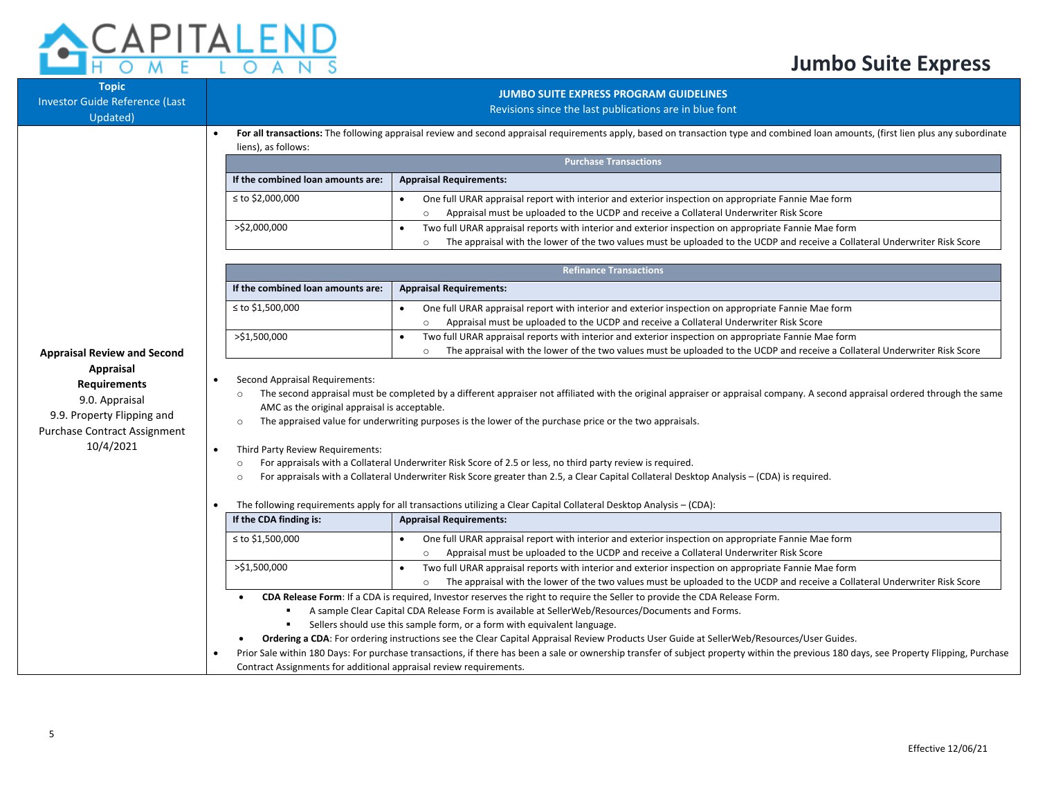# **CAPITALEND**

| <b>Topic</b><br>Investor Guide Reference (Last<br>Updated)                                                                    | <b>JUMBO SUITE EXPRESS PROGRAM GUIDELINES</b><br>Revisions since the last publications are in blue font                                                                                                    |                                                                                                                                                                                                                                                                                                                                                                                                                                                                                                                                                                                                                                                                             |  |  |  |  |  |
|-------------------------------------------------------------------------------------------------------------------------------|------------------------------------------------------------------------------------------------------------------------------------------------------------------------------------------------------------|-----------------------------------------------------------------------------------------------------------------------------------------------------------------------------------------------------------------------------------------------------------------------------------------------------------------------------------------------------------------------------------------------------------------------------------------------------------------------------------------------------------------------------------------------------------------------------------------------------------------------------------------------------------------------------|--|--|--|--|--|
|                                                                                                                               | For all transactions: The following appraisal review and second appraisal requirements apply, based on transaction type and combined loan amounts, (first lien plus any subordinate<br>liens), as follows: |                                                                                                                                                                                                                                                                                                                                                                                                                                                                                                                                                                                                                                                                             |  |  |  |  |  |
|                                                                                                                               | <b>Purchase Transactions</b>                                                                                                                                                                               |                                                                                                                                                                                                                                                                                                                                                                                                                                                                                                                                                                                                                                                                             |  |  |  |  |  |
|                                                                                                                               | If the combined loan amounts are:                                                                                                                                                                          | <b>Appraisal Requirements:</b>                                                                                                                                                                                                                                                                                                                                                                                                                                                                                                                                                                                                                                              |  |  |  |  |  |
|                                                                                                                               | ≤ to \$2,000,000                                                                                                                                                                                           | One full URAR appraisal report with interior and exterior inspection on appropriate Fannie Mae form<br>$\bullet$<br>Appraisal must be uploaded to the UCDP and receive a Collateral Underwriter Risk Score<br>$\circ$                                                                                                                                                                                                                                                                                                                                                                                                                                                       |  |  |  |  |  |
|                                                                                                                               | >\$2,000,000                                                                                                                                                                                               | Two full URAR appraisal reports with interior and exterior inspection on appropriate Fannie Mae form<br>$\bullet$<br>The appraisal with the lower of the two values must be uploaded to the UCDP and receive a Collateral Underwriter Risk Score<br>$\circ$                                                                                                                                                                                                                                                                                                                                                                                                                 |  |  |  |  |  |
|                                                                                                                               |                                                                                                                                                                                                            | <b>Refinance Transactions</b>                                                                                                                                                                                                                                                                                                                                                                                                                                                                                                                                                                                                                                               |  |  |  |  |  |
|                                                                                                                               | If the combined loan amounts are:                                                                                                                                                                          | <b>Appraisal Requirements:</b>                                                                                                                                                                                                                                                                                                                                                                                                                                                                                                                                                                                                                                              |  |  |  |  |  |
|                                                                                                                               | ≤ to \$1,500,000                                                                                                                                                                                           | One full URAR appraisal report with interior and exterior inspection on appropriate Fannie Mae form<br>Appraisal must be uploaded to the UCDP and receive a Collateral Underwriter Risk Score<br>$\circ$                                                                                                                                                                                                                                                                                                                                                                                                                                                                    |  |  |  |  |  |
| <b>Appraisal Review and Second</b>                                                                                            | >\$1,500,000                                                                                                                                                                                               | Two full URAR appraisal reports with interior and exterior inspection on appropriate Fannie Mae form<br>The appraisal with the lower of the two values must be uploaded to the UCDP and receive a Collateral Underwriter Risk Score<br>$\circ$                                                                                                                                                                                                                                                                                                                                                                                                                              |  |  |  |  |  |
| Appraisal<br><b>Requirements</b><br>9.0. Appraisal<br>9.9. Property Flipping and<br>Purchase Contract Assignment<br>10/4/2021 | Second Appraisal Requirements:<br>$\circ$<br>AMC as the original appraisal is acceptable.<br>$\Omega$<br>Third Party Review Requirements:<br>$\bullet$<br>$\circ$<br>$\Omega$                              | The second appraisal must be completed by a different appraiser not affiliated with the original appraiser or appraisal company. A second appraisal ordered through the same<br>The appraised value for underwriting purposes is the lower of the purchase price or the two appraisals.<br>For appraisals with a Collateral Underwriter Risk Score of 2.5 or less, no third party review is required.<br>For appraisals with a Collateral Underwriter Risk Score greater than 2.5, a Clear Capital Collateral Desktop Analysis – (CDA) is required.<br>The following requirements apply for all transactions utilizing a Clear Capital Collateral Desktop Analysis - (CDA): |  |  |  |  |  |
|                                                                                                                               | If the CDA finding is:                                                                                                                                                                                     | <b>Appraisal Requirements:</b>                                                                                                                                                                                                                                                                                                                                                                                                                                                                                                                                                                                                                                              |  |  |  |  |  |
|                                                                                                                               | ≤ to \$1,500,000                                                                                                                                                                                           | One full URAR appraisal report with interior and exterior inspection on appropriate Fannie Mae form<br>Appraisal must be uploaded to the UCDP and receive a Collateral Underwriter Risk Score<br>$\circ$                                                                                                                                                                                                                                                                                                                                                                                                                                                                    |  |  |  |  |  |
|                                                                                                                               | >\$1,500,000                                                                                                                                                                                               | Two full URAR appraisal reports with interior and exterior inspection on appropriate Fannie Mae form<br>$\bullet$<br>The appraisal with the lower of the two values must be uploaded to the UCDP and receive a Collateral Underwriter Risk Score<br>$\circ$                                                                                                                                                                                                                                                                                                                                                                                                                 |  |  |  |  |  |
|                                                                                                                               | Contract Assignments for additional appraisal review requirements.                                                                                                                                         | CDA Release Form: If a CDA is required, Investor reserves the right to require the Seller to provide the CDA Release Form.<br>A sample Clear Capital CDA Release Form is available at SellerWeb/Resources/Documents and Forms.<br>Sellers should use this sample form, or a form with equivalent language.<br>Ordering a CDA: For ordering instructions see the Clear Capital Appraisal Review Products User Guide at SellerWeb/Resources/User Guides.<br>Prior Sale within 180 Days: For purchase transactions, if there has been a sale or ownership transfer of subject property within the previous 180 days, see Property Flipping, Purchase                           |  |  |  |  |  |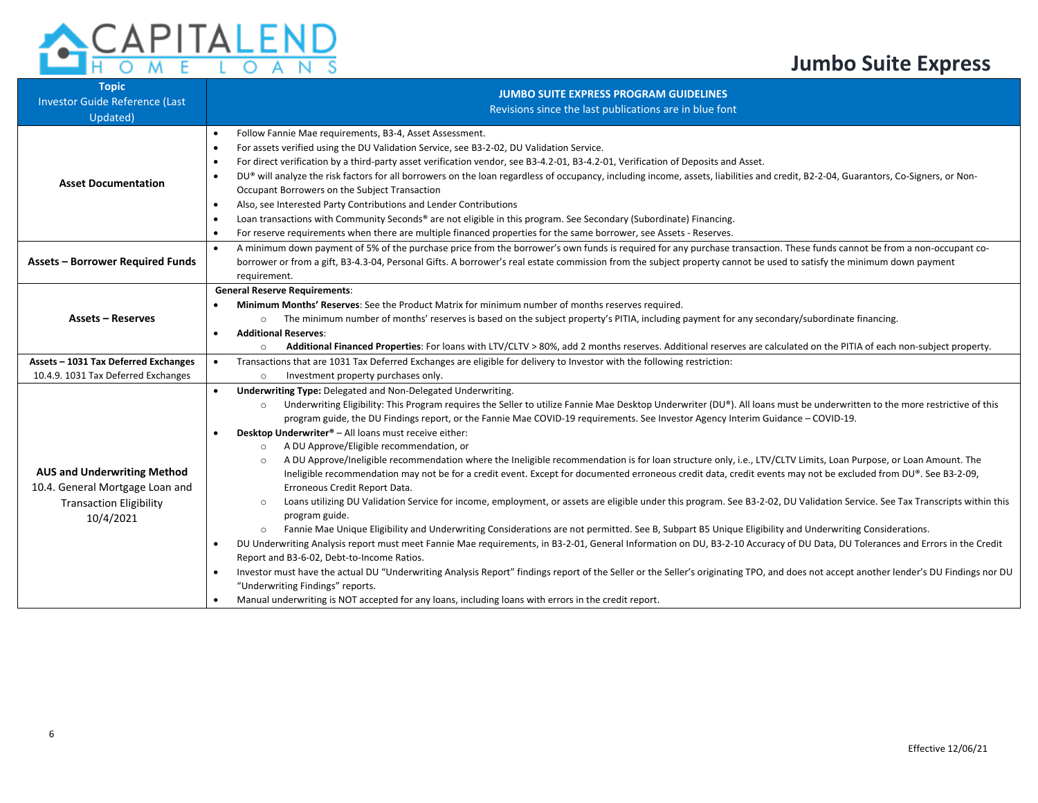#### $\overline{\mathsf{A}}$  $\circ$ S N

| <b>Topic</b><br><b>Investor Guide Reference (Last</b><br>Updated) | <b>JUMBO SUITE EXPRESS PROGRAM GUIDELINES</b><br>Revisions since the last publications are in blue font                                                                                                                                                                                                                   |  |  |  |  |  |  |  |
|-------------------------------------------------------------------|---------------------------------------------------------------------------------------------------------------------------------------------------------------------------------------------------------------------------------------------------------------------------------------------------------------------------|--|--|--|--|--|--|--|
|                                                                   | Follow Fannie Mae requirements, B3-4, Asset Assessment.<br>$\bullet$                                                                                                                                                                                                                                                      |  |  |  |  |  |  |  |
|                                                                   | For assets verified using the DU Validation Service, see B3-2-02, DU Validation Service.<br>$\bullet$                                                                                                                                                                                                                     |  |  |  |  |  |  |  |
|                                                                   | For direct verification by a third-party asset verification vendor, see B3-4.2-01, B3-4.2-01, Verification of Deposits and Asset.<br>$\bullet$                                                                                                                                                                            |  |  |  |  |  |  |  |
| <b>Asset Documentation</b>                                        | DU® will analyze the risk factors for all borrowers on the loan regardless of occupancy, including income, assets, liabilities and credit, B2-2-04, Guarantors, Co-Signers, or Non-<br>$\bullet$                                                                                                                          |  |  |  |  |  |  |  |
|                                                                   | Occupant Borrowers on the Subject Transaction                                                                                                                                                                                                                                                                             |  |  |  |  |  |  |  |
|                                                                   | Also, see Interested Party Contributions and Lender Contributions<br>$\bullet$                                                                                                                                                                                                                                            |  |  |  |  |  |  |  |
|                                                                   | Loan transactions with Community Seconds® are not eligible in this program. See Secondary (Subordinate) Financing.<br>$\bullet$                                                                                                                                                                                           |  |  |  |  |  |  |  |
|                                                                   | For reserve requirements when there are multiple financed properties for the same borrower, see Assets - Reserves.<br>$\bullet$                                                                                                                                                                                           |  |  |  |  |  |  |  |
|                                                                   | A minimum down payment of 5% of the purchase price from the borrower's own funds is required for any purchase transaction. These funds cannot be from a non-occupant co-<br>$\bullet$                                                                                                                                     |  |  |  |  |  |  |  |
| <b>Assets - Borrower Required Funds</b>                           | borrower or from a gift, B3-4.3-04, Personal Gifts. A borrower's real estate commission from the subject property cannot be used to satisfy the minimum down payment                                                                                                                                                      |  |  |  |  |  |  |  |
|                                                                   | requirement.                                                                                                                                                                                                                                                                                                              |  |  |  |  |  |  |  |
|                                                                   | <b>General Reserve Requirements:</b>                                                                                                                                                                                                                                                                                      |  |  |  |  |  |  |  |
|                                                                   | Minimum Months' Reserves: See the Product Matrix for minimum number of months reserves required.<br>$\bullet$                                                                                                                                                                                                             |  |  |  |  |  |  |  |
| <b>Assets - Reserves</b>                                          | The minimum number of months' reserves is based on the subject property's PITIA, including payment for any secondary/subordinate financing.<br>$\circ$                                                                                                                                                                    |  |  |  |  |  |  |  |
|                                                                   | <b>Additional Reserves:</b><br>$\bullet$                                                                                                                                                                                                                                                                                  |  |  |  |  |  |  |  |
|                                                                   | Additional Financed Properties: For loans with LTV/CLTV > 80%, add 2 months reserves. Additional reserves are calculated on the PITIA of each non-subject property.<br>$\circ$                                                                                                                                            |  |  |  |  |  |  |  |
| Assets - 1031 Tax Deferred Exchanges                              | Transactions that are 1031 Tax Deferred Exchanges are eligible for delivery to Investor with the following restriction:<br>$\bullet$                                                                                                                                                                                      |  |  |  |  |  |  |  |
| 10.4.9. 1031 Tax Deferred Exchanges                               | Investment property purchases only.<br>$\circ$                                                                                                                                                                                                                                                                            |  |  |  |  |  |  |  |
|                                                                   | <b>Underwriting Type: Delegated and Non-Delegated Underwriting.</b>                                                                                                                                                                                                                                                       |  |  |  |  |  |  |  |
|                                                                   | Underwriting Eligibility: This Program requires the Seller to utilize Fannie Mae Desktop Underwriter (DU®). All loans must be underwritten to the more restrictive of this<br>$\circ$<br>program guide, the DU Findings report, or the Fannie Mae COVID-19 requirements. See Investor Agency Interim Guidance - COVID-19. |  |  |  |  |  |  |  |
|                                                                   | Desktop Underwriter® - All loans must receive either:                                                                                                                                                                                                                                                                     |  |  |  |  |  |  |  |
|                                                                   | A DU Approve/Eligible recommendation, or<br>$\circ$                                                                                                                                                                                                                                                                       |  |  |  |  |  |  |  |
|                                                                   | A DU Approve/Ineligible recommendation where the Ineligible recommendation is for loan structure only, i.e., LTV/CLTV Limits, Loan Purpose, or Loan Amount. The<br>$\circ$                                                                                                                                                |  |  |  |  |  |  |  |
| <b>AUS and Underwriting Method</b>                                | Ineligible recommendation may not be for a credit event. Except for documented erroneous credit data, credit events may not be excluded from DU®. See B3-2-09,                                                                                                                                                            |  |  |  |  |  |  |  |
| 10.4. General Mortgage Loan and                                   | Erroneous Credit Report Data.                                                                                                                                                                                                                                                                                             |  |  |  |  |  |  |  |
| <b>Transaction Eligibility</b>                                    | Loans utilizing DU Validation Service for income, employment, or assets are eligible under this program. See B3-2-02, DU Validation Service. See Tax Transcripts within this<br>$\circ$                                                                                                                                   |  |  |  |  |  |  |  |
| 10/4/2021                                                         | program guide.                                                                                                                                                                                                                                                                                                            |  |  |  |  |  |  |  |
|                                                                   | Fannie Mae Unique Eligibility and Underwriting Considerations are not permitted. See B, Subpart B5 Unique Eligibility and Underwriting Considerations.<br>$\circ$                                                                                                                                                         |  |  |  |  |  |  |  |
|                                                                   | DU Underwriting Analysis report must meet Fannie Mae requirements, in B3-2-01, General Information on DU, B3-2-10 Accuracy of DU Data, DU Tolerances and Errors in the Credit<br>$\bullet$                                                                                                                                |  |  |  |  |  |  |  |
|                                                                   | Report and B3-6-02, Debt-to-Income Ratios.                                                                                                                                                                                                                                                                                |  |  |  |  |  |  |  |
|                                                                   | Investor must have the actual DU "Underwriting Analysis Report" findings report of the Seller or the Seller's originating TPO, and does not accept another lender's DU Findings nor DU<br>$\bullet$                                                                                                                       |  |  |  |  |  |  |  |
|                                                                   | "Underwriting Findings" reports.                                                                                                                                                                                                                                                                                          |  |  |  |  |  |  |  |
|                                                                   | Manual underwriting is NOT accepted for any loans, including loans with errors in the credit report.<br>$\bullet$                                                                                                                                                                                                         |  |  |  |  |  |  |  |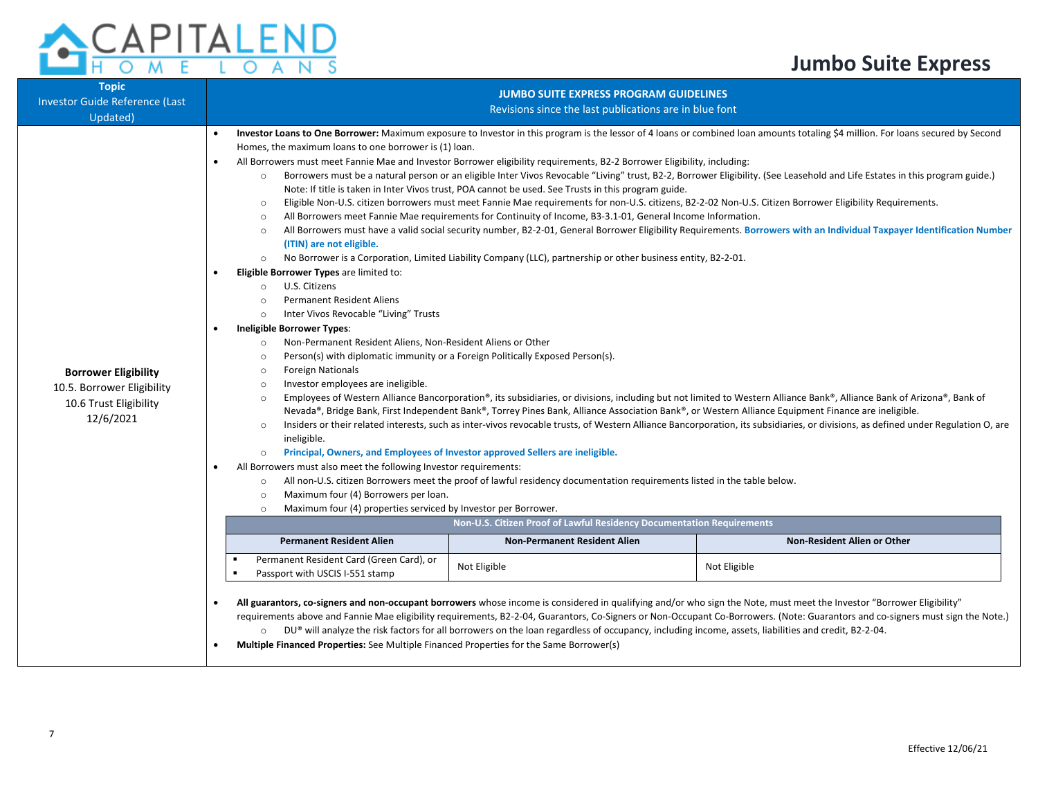| <b>ACAPITALEND</b> |  |  |  |  |  |
|--------------------|--|--|--|--|--|
|                    |  |  |  |  |  |

| <b>Topic</b>                                                                                                 |                                                                                                                                                                                                                                                                                                                                                                                                                                                                                                                                                                                                             | <b>JUMBO SUITE EXPRESS PROGRAM GUIDELINES</b>                                                                                                                                                                                                                                                                                                                                                                                                                                                                                                                                                                                                                                                                                                                                                                                                                                              |                                                                                                                                                                                                                                                                                                                                                                                                                                                                                                                                                                                                                                                                                                                                                                                                                                                                                                               |                                                                                                                                                                                                                                                                                                                                                                                                                                                                                                                                                                                                                                                                                                                                                                                                                                                                                                           |  |  |  |
|--------------------------------------------------------------------------------------------------------------|-------------------------------------------------------------------------------------------------------------------------------------------------------------------------------------------------------------------------------------------------------------------------------------------------------------------------------------------------------------------------------------------------------------------------------------------------------------------------------------------------------------------------------------------------------------------------------------------------------------|--------------------------------------------------------------------------------------------------------------------------------------------------------------------------------------------------------------------------------------------------------------------------------------------------------------------------------------------------------------------------------------------------------------------------------------------------------------------------------------------------------------------------------------------------------------------------------------------------------------------------------------------------------------------------------------------------------------------------------------------------------------------------------------------------------------------------------------------------------------------------------------------|---------------------------------------------------------------------------------------------------------------------------------------------------------------------------------------------------------------------------------------------------------------------------------------------------------------------------------------------------------------------------------------------------------------------------------------------------------------------------------------------------------------------------------------------------------------------------------------------------------------------------------------------------------------------------------------------------------------------------------------------------------------------------------------------------------------------------------------------------------------------------------------------------------------|-----------------------------------------------------------------------------------------------------------------------------------------------------------------------------------------------------------------------------------------------------------------------------------------------------------------------------------------------------------------------------------------------------------------------------------------------------------------------------------------------------------------------------------------------------------------------------------------------------------------------------------------------------------------------------------------------------------------------------------------------------------------------------------------------------------------------------------------------------------------------------------------------------------|--|--|--|
| <b>Investor Guide Reference (Last</b>                                                                        | Revisions since the last publications are in blue font                                                                                                                                                                                                                                                                                                                                                                                                                                                                                                                                                      |                                                                                                                                                                                                                                                                                                                                                                                                                                                                                                                                                                                                                                                                                                                                                                                                                                                                                            |                                                                                                                                                                                                                                                                                                                                                                                                                                                                                                                                                                                                                                                                                                                                                                                                                                                                                                               |                                                                                                                                                                                                                                                                                                                                                                                                                                                                                                                                                                                                                                                                                                                                                                                                                                                                                                           |  |  |  |
| Updated)<br><b>Borrower Eligibility</b><br>10.5. Borrower Eligibility<br>10.6 Trust Eligibility<br>12/6/2021 | $\bullet$                                                                                                                                                                                                                                                                                                                                                                                                                                                                                                                                                                                                   | Homes, the maximum loans to one borrower is (1) loan.<br>$\circ$<br>$\circ$<br>$\circ$<br>$\circ$<br>(ITIN) are not eligible.<br>$\circ$<br>Eligible Borrower Types are limited to:<br>U.S. Citizens<br>$\circ$<br><b>Permanent Resident Aliens</b><br>$\circ$<br>Inter Vivos Revocable "Living" Trusts<br>$\circ$<br><b>Ineligible Borrower Types:</b><br>Non-Permanent Resident Aliens, Non-Resident Aliens or Other<br>$\circ$<br>Person(s) with diplomatic immunity or a Foreign Politically Exposed Person(s).<br>$\circ$<br><b>Foreign Nationals</b><br>$\circ$<br>Investor employees are ineligible.<br>$\circ$<br>$\circ$<br>$\circ$<br>ineligible.<br>Principal, Owners, and Employees of Investor approved Sellers are ineligible.<br>$\circ$<br>All Borrowers must also meet the following Investor requirements:<br>$\circ$<br>Maximum four (4) Borrowers per loan.<br>$\circ$ | All Borrowers must meet Fannie Mae and Investor Borrower eligibility requirements, B2-2 Borrower Eligibility, including:<br>Note: If title is taken in Inter Vivos trust, POA cannot be used. See Trusts in this program guide.<br>Eligible Non-U.S. citizen borrowers must meet Fannie Mae requirements for non-U.S. citizens, B2-2-02 Non-U.S. Citizen Borrower Eligibility Requirements.<br>All Borrowers meet Fannie Mae requirements for Continuity of Income, B3-3.1-01, General Income Information.<br>No Borrower is a Corporation, Limited Liability Company (LLC), partnership or other business entity, B2-2-01.<br>Nevada®, Bridge Bank, First Independent Bank®, Torrey Pines Bank, Alliance Association Bank®, or Western Alliance Equipment Finance are ineligible.<br>All non-U.S. citizen Borrowers meet the proof of lawful residency documentation requirements listed in the table below. | Investor Loans to One Borrower: Maximum exposure to Investor in this program is the lessor of 4 loans or combined loan amounts totaling \$4 million. For loans secured by Second<br>Borrowers must be a natural person or an eligible Inter Vivos Revocable "Living" trust, B2-2, Borrower Eligibility. (See Leasehold and Life Estates in this program guide.)<br>All Borrowers must have a valid social security number, B2-2-01, General Borrower Eligibility Requirements. Borrowers with an Individual Taxpayer Identification Number<br>Employees of Western Alliance Bancorporation®, its subsidiaries, or divisions, including but not limited to Western Alliance Bank®, Alliance Bank of Arizona®, Bank of<br>Insiders or their related interests, such as inter-vivos revocable trusts, of Western Alliance Bancorporation, its subsidiaries, or divisions, as defined under Regulation O, are |  |  |  |
|                                                                                                              |                                                                                                                                                                                                                                                                                                                                                                                                                                                                                                                                                                                                             | Maximum four (4) properties serviced by Investor per Borrower.<br>$\circ$<br>Non-U.S. Citizen Proof of Lawful Residency Documentation Requirements                                                                                                                                                                                                                                                                                                                                                                                                                                                                                                                                                                                                                                                                                                                                         |                                                                                                                                                                                                                                                                                                                                                                                                                                                                                                                                                                                                                                                                                                                                                                                                                                                                                                               |                                                                                                                                                                                                                                                                                                                                                                                                                                                                                                                                                                                                                                                                                                                                                                                                                                                                                                           |  |  |  |
|                                                                                                              |                                                                                                                                                                                                                                                                                                                                                                                                                                                                                                                                                                                                             | <b>Permanent Resident Alien</b>                                                                                                                                                                                                                                                                                                                                                                                                                                                                                                                                                                                                                                                                                                                                                                                                                                                            | <b>Non-Permanent Resident Alien</b>                                                                                                                                                                                                                                                                                                                                                                                                                                                                                                                                                                                                                                                                                                                                                                                                                                                                           | Non-Resident Alien or Other                                                                                                                                                                                                                                                                                                                                                                                                                                                                                                                                                                                                                                                                                                                                                                                                                                                                               |  |  |  |
|                                                                                                              |                                                                                                                                                                                                                                                                                                                                                                                                                                                                                                                                                                                                             | Permanent Resident Card (Green Card), or<br>Passport with USCIS I-551 stamp                                                                                                                                                                                                                                                                                                                                                                                                                                                                                                                                                                                                                                                                                                                                                                                                                | Not Eligible                                                                                                                                                                                                                                                                                                                                                                                                                                                                                                                                                                                                                                                                                                                                                                                                                                                                                                  | Not Eligible                                                                                                                                                                                                                                                                                                                                                                                                                                                                                                                                                                                                                                                                                                                                                                                                                                                                                              |  |  |  |
|                                                                                                              | All guarantors, co-signers and non-occupant borrowers whose income is considered in qualifying and/or who sign the Note, must meet the Investor "Borrower Eligibility"<br>requirements above and Fannie Mae eligibility requirements, B2-2-04, Guarantors, Co-Signers or Non-Occupant Co-Borrowers. (Note: Guarantors and co-signers must sign the Note.)<br>DU® will analyze the risk factors for all borrowers on the loan regardless of occupancy, including income, assets, liabilities and credit, B2-2-04.<br>Multiple Financed Properties: See Multiple Financed Properties for the Same Borrower(s) |                                                                                                                                                                                                                                                                                                                                                                                                                                                                                                                                                                                                                                                                                                                                                                                                                                                                                            |                                                                                                                                                                                                                                                                                                                                                                                                                                                                                                                                                                                                                                                                                                                                                                                                                                                                                                               |                                                                                                                                                                                                                                                                                                                                                                                                                                                                                                                                                                                                                                                                                                                                                                                                                                                                                                           |  |  |  |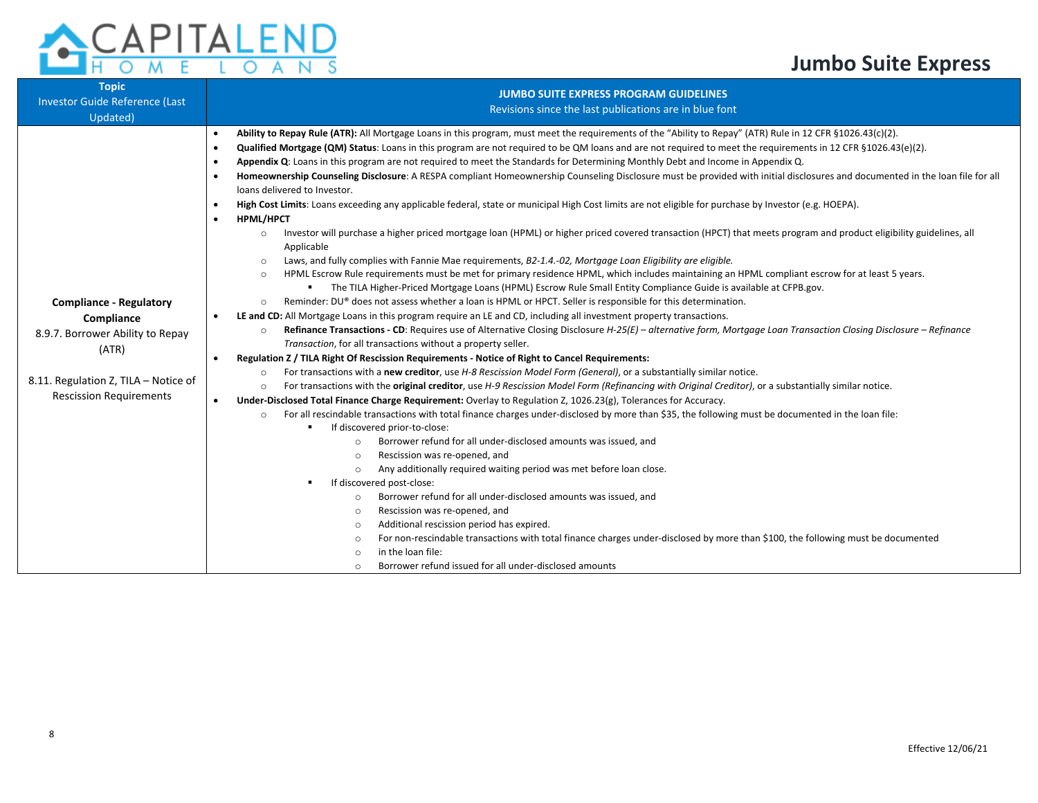

| <b>Topic</b><br>Investor Guide Reference (Last<br>Updated)                                                                                                          | <b>JUMBO SUITE EXPRESS PROGRAM GUIDELINES</b><br>Revisions since the last publications are in blue font                                                                                                                                                                                                                                                                                                                                                                                                                                                                                                                                                                                                                                                                                                                                                                                                                                                                                                                                                                                                                                                                                                                                                                                                                                                                                                                                                                                                                                                                                                                                                                                                                                                                                                                                                                                                                                                                                                                                                                                                                                                                                                                                                                                                                                                                                                                                                                                                                                                                                                                                                                                                                                                                                                                                                                                                                                                                                                                                                                                                                                                                                                                                                                                                                                                                                                                                 |  |  |  |  |  |
|---------------------------------------------------------------------------------------------------------------------------------------------------------------------|-----------------------------------------------------------------------------------------------------------------------------------------------------------------------------------------------------------------------------------------------------------------------------------------------------------------------------------------------------------------------------------------------------------------------------------------------------------------------------------------------------------------------------------------------------------------------------------------------------------------------------------------------------------------------------------------------------------------------------------------------------------------------------------------------------------------------------------------------------------------------------------------------------------------------------------------------------------------------------------------------------------------------------------------------------------------------------------------------------------------------------------------------------------------------------------------------------------------------------------------------------------------------------------------------------------------------------------------------------------------------------------------------------------------------------------------------------------------------------------------------------------------------------------------------------------------------------------------------------------------------------------------------------------------------------------------------------------------------------------------------------------------------------------------------------------------------------------------------------------------------------------------------------------------------------------------------------------------------------------------------------------------------------------------------------------------------------------------------------------------------------------------------------------------------------------------------------------------------------------------------------------------------------------------------------------------------------------------------------------------------------------------------------------------------------------------------------------------------------------------------------------------------------------------------------------------------------------------------------------------------------------------------------------------------------------------------------------------------------------------------------------------------------------------------------------------------------------------------------------------------------------------------------------------------------------------------------------------------------------------------------------------------------------------------------------------------------------------------------------------------------------------------------------------------------------------------------------------------------------------------------------------------------------------------------------------------------------------------------------------------------------------------------------------------------------------|--|--|--|--|--|
| <b>Compliance - Regulatory</b><br>Compliance<br>8.9.7. Borrower Ability to Repay<br>(ATR)<br>8.11. Regulation Z, TILA - Notice of<br><b>Rescission Requirements</b> | Ability to Repay Rule (ATR): All Mortgage Loans in this program, must meet the requirements of the "Ability to Repay" (ATR) Rule in 12 CFR §1026.43(c)(2).<br>٠<br>Qualified Mortgage (QM) Status: Loans in this program are not required to be QM loans and are not required to meet the requirements in 12 CFR §1026.43(e)(2).<br>$\bullet$<br>Appendix Q: Loans in this program are not required to meet the Standards for Determining Monthly Debt and Income in Appendix Q.<br>Homeownership Counseling Disclosure: A RESPA compliant Homeownership Counseling Disclosure must be provided with initial disclosures and documented in the loan file for all<br>loans delivered to Investor.<br>High Cost Limits: Loans exceeding any applicable federal, state or municipal High Cost limits are not eligible for purchase by Investor (e.g. HOEPA).<br><b>HPML/HPCT</b><br>$\bullet$<br>Investor will purchase a higher priced mortgage loan (HPML) or higher priced covered transaction (HPCT) that meets program and product eligibility guidelines, all<br>$\circ$<br>Applicable<br>Laws, and fully complies with Fannie Mae requirements, B2-1.4.-02, Mortgage Loan Eligibility are eligible.<br>$\circ$<br>HPML Escrow Rule requirements must be met for primary residence HPML, which includes maintaining an HPML compliant escrow for at least 5 years.<br>$\circ$<br>The TILA Higher-Priced Mortgage Loans (HPML) Escrow Rule Small Entity Compliance Guide is available at CFPB.gov.<br>٠<br>Reminder: DU® does not assess whether a loan is HPML or HPCT. Seller is responsible for this determination.<br>$\circ$<br>LE and CD: All Mortgage Loans in this program require an LE and CD, including all investment property transactions.<br>Refinance Transactions - CD: Requires use of Alternative Closing Disclosure H-25(E) - alternative form, Mortgage Loan Transaction Closing Disclosure - Refinance<br>$\circ$<br>Transaction, for all transactions without a property seller.<br>Regulation Z / TILA Right Of Rescission Requirements - Notice of Right to Cancel Requirements:<br>$\bullet$<br>For transactions with a new creditor, use H-8 Rescission Model Form (General), or a substantially similar notice.<br>$\circ$<br>For transactions with the original creditor, use H-9 Rescission Model Form (Refinancing with Original Creditor), or a substantially similar notice.<br>$\circ$<br>Under-Disclosed Total Finance Charge Requirement: Overlay to Regulation Z, 1026.23(g), Tolerances for Accuracy.<br>For all rescindable transactions with total finance charges under-disclosed by more than \$35, the following must be documented in the loan file:<br>$\circ$<br>If discovered prior-to-close:<br>٠<br>Borrower refund for all under-disclosed amounts was issued, and<br>$\circ$<br>Rescission was re-opened, and<br>$\circ$<br>Any additionally required waiting period was met before loan close.<br>$\circ$<br>If discovered post-close:<br>٠<br>Borrower refund for all under-disclosed amounts was issued, and<br>$\circ$<br>Rescission was re-opened, and<br>$\circ$<br>Additional rescission period has expired.<br>$\circ$<br>For non-rescindable transactions with total finance charges under-disclosed by more than \$100, the following must be documented<br>$\circ$<br>in the loan file:<br>$\circ$<br>Borrower refund issued for all under-disclosed amounts<br>$\circ$ |  |  |  |  |  |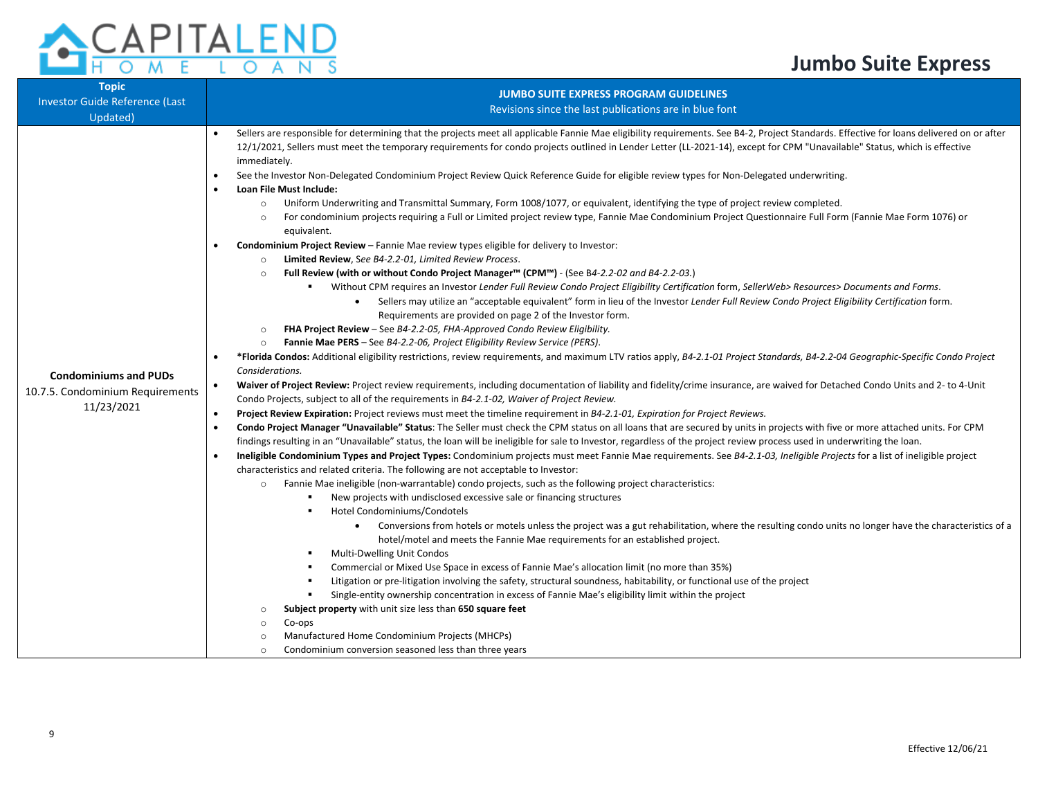

| <b>Topic</b><br><b>Investor Guide Reference (Last</b><br>Updated)              | <b>JUMBO SUITE EXPRESS PROGRAM GUIDELINES</b><br>Revisions since the last publications are in blue font                                                                                                                                                                                                                                                                                                                                                                                                                                                                                                                                                                                                                                                                                                                                                                                                                                                                                                                                                                                                                                                                                                                                                                                                                                                                                                                                                                                                                                                                                                                                                                                                                                                                                                                                                                                                                                                                                                                                                                                                                                                                                                                                                                                                                                                                                                                                                                                                                                                                                                                                                                                                                                                                                                                                                                                                                                                                                                                                                                                                                                                                                                                                                                                                                                                                                                                                                                                                                                                                                                                                                                                                                                                                                                                                                                                                                                                                                                                           |
|--------------------------------------------------------------------------------|-----------------------------------------------------------------------------------------------------------------------------------------------------------------------------------------------------------------------------------------------------------------------------------------------------------------------------------------------------------------------------------------------------------------------------------------------------------------------------------------------------------------------------------------------------------------------------------------------------------------------------------------------------------------------------------------------------------------------------------------------------------------------------------------------------------------------------------------------------------------------------------------------------------------------------------------------------------------------------------------------------------------------------------------------------------------------------------------------------------------------------------------------------------------------------------------------------------------------------------------------------------------------------------------------------------------------------------------------------------------------------------------------------------------------------------------------------------------------------------------------------------------------------------------------------------------------------------------------------------------------------------------------------------------------------------------------------------------------------------------------------------------------------------------------------------------------------------------------------------------------------------------------------------------------------------------------------------------------------------------------------------------------------------------------------------------------------------------------------------------------------------------------------------------------------------------------------------------------------------------------------------------------------------------------------------------------------------------------------------------------------------------------------------------------------------------------------------------------------------------------------------------------------------------------------------------------------------------------------------------------------------------------------------------------------------------------------------------------------------------------------------------------------------------------------------------------------------------------------------------------------------------------------------------------------------------------------------------------------------------------------------------------------------------------------------------------------------------------------------------------------------------------------------------------------------------------------------------------------------------------------------------------------------------------------------------------------------------------------------------------------------------------------------------------------------------------------------------------------------------------------------------------------------------------------------------------------------------------------------------------------------------------------------------------------------------------------------------------------------------------------------------------------------------------------------------------------------------------------------------------------------------------------------------------------------------------------------------------------------------------------------------------------------|
| <b>Condominiums and PUDs</b><br>10.7.5. Condominium Requirements<br>11/23/2021 | Sellers are responsible for determining that the projects meet all applicable Fannie Mae eligibility requirements. See B4-2, Project Standards. Effective for loans delivered on or after<br>$\bullet$<br>12/1/2021, Sellers must meet the temporary requirements for condo projects outlined in Lender Letter (LL-2021-14), except for CPM "Unavailable" Status, which is effective<br>immediately.<br>See the Investor Non-Delegated Condominium Project Review Quick Reference Guide for eligible review types for Non-Delegated underwriting.<br>Loan File Must Include:<br>$\bullet$<br>Uniform Underwriting and Transmittal Summary, Form 1008/1077, or equivalent, identifying the type of project review completed.<br>$\circ$<br>For condominium projects requiring a Full or Limited project review type, Fannie Mae Condominium Project Questionnaire Full Form (Fannie Mae Form 1076) or<br>$\circ$<br>equivalent.<br>Condominium Project Review - Fannie Mae review types eligible for delivery to Investor:<br>Limited Review, See B4-2.2-01, Limited Review Process.<br>$\circ$<br>Full Review (with or without Condo Project Manager™ (CPM™) - (See B4-2.2-02 and B4-2.2-03.)<br>$\circ$<br>Without CPM requires an Investor Lender Full Review Condo Project Eligibility Certification form, SellerWeb> Resources> Documents and Forms.<br>Sellers may utilize an "acceptable equivalent" form in lieu of the Investor Lender Full Review Condo Project Eligibility Certification form.<br>Requirements are provided on page 2 of the Investor form.<br>FHA Project Review - See B4-2.2-05, FHA-Approved Condo Review Eligibility.<br>$\circ$<br><b>Fannie Mae PERS</b> - See B4-2.2-06, Project Eligibility Review Service (PERS).<br>$\circ$<br>*Florida Condos: Additional eligibility restrictions, review requirements, and maximum LTV ratios apply, B4-2.1-01 Project Standards, B4-2.2-04 Geographic-Specific Condo Project<br>Considerations.<br>Waiver of Project Review: Project review requirements, including documentation of liability and fidelity/crime insurance, are waived for Detached Condo Units and 2- to 4-Unit<br>$\bullet$<br>Condo Projects, subject to all of the requirements in B4-2.1-02, Waiver of Project Review.<br>$\bullet$<br>Project Review Expiration: Project reviews must meet the timeline requirement in B4-2.1-01, Expiration for Project Reviews.<br>Condo Project Manager "Unavailable" Status: The Seller must check the CPM status on all loans that are secured by units in projects with five or more attached units. For CPM<br>$\bullet$<br>findings resulting in an "Unavailable" status, the loan will be ineligible for sale to Investor, regardless of the project review process used in underwriting the loan.<br>Ineligible Condominium Types and Project Types: Condominium projects must meet Fannie Mae requirements. See B4-2.1-03, Ineligible Projects for a list of ineligible project<br>$\bullet$<br>characteristics and related criteria. The following are not acceptable to Investor:<br>Fannie Mae ineligible (non-warrantable) condo projects, such as the following project characteristics:<br>$\circ$<br>New projects with undisclosed excessive sale or financing structures<br>Hotel Condominiums/Condotels<br>Conversions from hotels or motels unless the project was a gut rehabilitation, where the resulting condo units no longer have the characteristics of a<br>hotel/motel and meets the Fannie Mae requirements for an established project.<br>Multi-Dwelling Unit Condos<br>٠<br>Commercial or Mixed Use Space in excess of Fannie Mae's allocation limit (no more than 35%)<br>Litigation or pre-litigation involving the safety, structural soundness, habitability, or functional use of the project<br>٠<br>Single-entity ownership concentration in excess of Fannie Mae's eligibility limit within the project<br>٠<br>Subject property with unit size less than 650 square feet<br>$\circ$<br>Co-ops<br>$\circ$ |
|                                                                                | Manufactured Home Condominium Projects (MHCPs)<br>$\circ$<br>Condominium conversion seasoned less than three years<br>$\circ$                                                                                                                                                                                                                                                                                                                                                                                                                                                                                                                                                                                                                                                                                                                                                                                                                                                                                                                                                                                                                                                                                                                                                                                                                                                                                                                                                                                                                                                                                                                                                                                                                                                                                                                                                                                                                                                                                                                                                                                                                                                                                                                                                                                                                                                                                                                                                                                                                                                                                                                                                                                                                                                                                                                                                                                                                                                                                                                                                                                                                                                                                                                                                                                                                                                                                                                                                                                                                                                                                                                                                                                                                                                                                                                                                                                                                                                                                                     |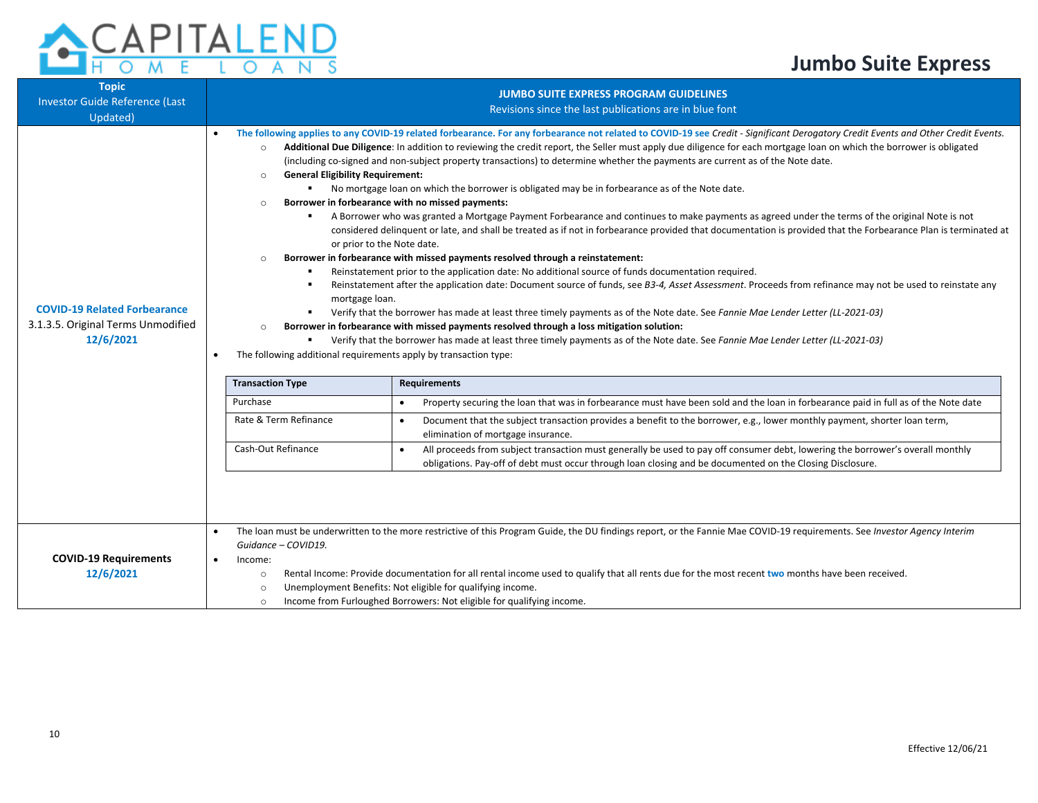

| <b>Topic</b><br><b>Investor Guide Reference (Last</b><br>Updated)                      | <b>JUMBO SUITE EXPRESS PROGRAM GUIDELINES</b><br>Revisions since the last publications are in blue font                                                                                                                                                                                                                                                                                                                                                                                                                                                           |                                                                                                                                                                                                                                                                                                                                                                                                                                                                                                                                                                                                                                                                                                                                                                                                                                                                                                                                                                                                                                                                                                                                                                                                                                                                                                                                                                                                                                                                                                                                                                                                                                                                                                                                                                                                                                                                                                                                                                                                                                                                                                                                                                                                                                                                                                                                                     |  |  |  |
|----------------------------------------------------------------------------------------|-------------------------------------------------------------------------------------------------------------------------------------------------------------------------------------------------------------------------------------------------------------------------------------------------------------------------------------------------------------------------------------------------------------------------------------------------------------------------------------------------------------------------------------------------------------------|-----------------------------------------------------------------------------------------------------------------------------------------------------------------------------------------------------------------------------------------------------------------------------------------------------------------------------------------------------------------------------------------------------------------------------------------------------------------------------------------------------------------------------------------------------------------------------------------------------------------------------------------------------------------------------------------------------------------------------------------------------------------------------------------------------------------------------------------------------------------------------------------------------------------------------------------------------------------------------------------------------------------------------------------------------------------------------------------------------------------------------------------------------------------------------------------------------------------------------------------------------------------------------------------------------------------------------------------------------------------------------------------------------------------------------------------------------------------------------------------------------------------------------------------------------------------------------------------------------------------------------------------------------------------------------------------------------------------------------------------------------------------------------------------------------------------------------------------------------------------------------------------------------------------------------------------------------------------------------------------------------------------------------------------------------------------------------------------------------------------------------------------------------------------------------------------------------------------------------------------------------------------------------------------------------------------------------------------------------|--|--|--|
| <b>COVID-19 Related Forbearance</b><br>3.1.3.5. Original Terms Unmodified<br>12/6/2021 | $\bullet$<br>$\circ$<br><b>General Eligibility Requirement:</b><br>$\circ$<br>$\circ$<br>$\circ$<br>mortgage loan.<br>$\Omega$<br>The following additional requirements apply by transaction type:<br><b>Transaction Type</b><br>Purchase<br>Rate & Term Refinance<br>Cash-Out Refinance                                                                                                                                                                                                                                                                          | The following applies to any COVID-19 related forbearance. For any forbearance not related to COVID-19 see Credit - Significant Derogatory Credit Events and Other Credit Events.<br>Additional Due Diligence: In addition to reviewing the credit report, the Seller must apply due diligence for each mortgage loan on which the borrower is obligated<br>(including co-signed and non-subject property transactions) to determine whether the payments are current as of the Note date.<br>• No mortgage loan on which the borrower is obligated may be in forbearance as of the Note date.<br>Borrower in forbearance with no missed payments:<br>A Borrower who was granted a Mortgage Payment Forbearance and continues to make payments as agreed under the terms of the original Note is not<br>considered delinquent or late, and shall be treated as if not in forbearance provided that documentation is provided that the Forbearance Plan is terminated at<br>or prior to the Note date.<br>Borrower in forbearance with missed payments resolved through a reinstatement:<br>Reinstatement prior to the application date: No additional source of funds documentation required.<br>Reinstatement after the application date: Document source of funds, see B3-4, Asset Assessment. Proceeds from refinance may not be used to reinstate any<br>Verify that the borrower has made at least three timely payments as of the Note date. See Fannie Mae Lender Letter (LL-2021-03)<br>Borrower in forbearance with missed payments resolved through a loss mitigation solution:<br>Verify that the borrower has made at least three timely payments as of the Note date. See Fannie Mae Lender Letter (LL-2021-03)<br><b>Requirements</b><br>Property securing the loan that was in forbearance must have been sold and the loan in forbearance paid in full as of the Note date<br>$\bullet$<br>Document that the subject transaction provides a benefit to the borrower, e.g., lower monthly payment, shorter loan term,<br>$\bullet$<br>elimination of mortgage insurance.<br>All proceeds from subject transaction must generally be used to pay off consumer debt, lowering the borrower's overall monthly<br>$\bullet$<br>obligations. Pay-off of debt must occur through loan closing and be documented on the Closing Disclosure. |  |  |  |
| <b>COVID-19 Requirements</b><br>12/6/2021                                              | The loan must be underwritten to the more restrictive of this Program Guide, the DU findings report, or the Fannie Mae COVID-19 requirements. See Investor Agency Interim<br>$\bullet$<br>Guidance - COVID19.<br>$\bullet$<br>Income:<br>Rental Income: Provide documentation for all rental income used to qualify that all rents due for the most recent two months have been received.<br>$\circ$<br>Unemployment Benefits: Not eligible for qualifying income.<br>$\circ$<br>Income from Furloughed Borrowers: Not eligible for qualifying income.<br>$\circ$ |                                                                                                                                                                                                                                                                                                                                                                                                                                                                                                                                                                                                                                                                                                                                                                                                                                                                                                                                                                                                                                                                                                                                                                                                                                                                                                                                                                                                                                                                                                                                                                                                                                                                                                                                                                                                                                                                                                                                                                                                                                                                                                                                                                                                                                                                                                                                                     |  |  |  |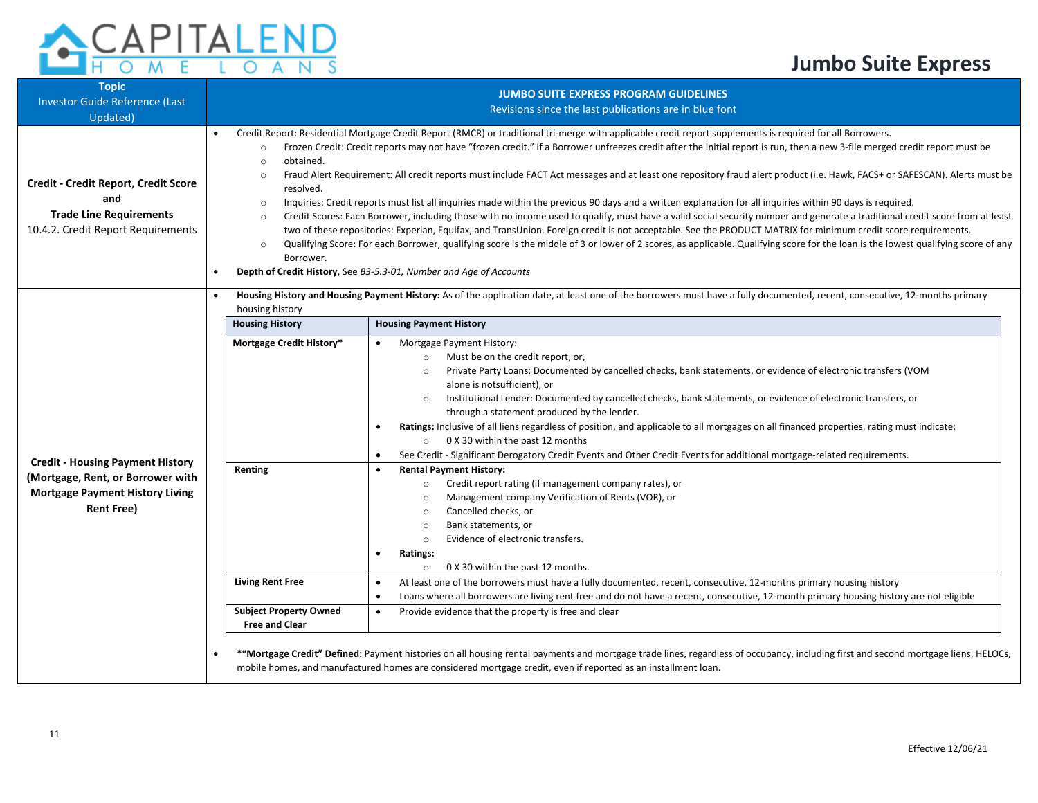## A -S

| <b>Topic</b><br><b>Investor Guide Reference (Last</b><br>Updated)                                                   | <b>JUMBO SUITE EXPRESS PROGRAM GUIDELINES</b><br>Revisions since the last publications are in blue font                                                                                                                                                                                                                                                                                                                                                                                                                                                                                                                                                                                                                                                                                                                                                                                                                                                                                                                                                                                                                                                                                                                                                                                                                                                                                                  |                                                                                                                                                                                                                                                                                                                                                                                                                                                                                                                                                                                                                                                                                                                                           |  |  |  |  |
|---------------------------------------------------------------------------------------------------------------------|----------------------------------------------------------------------------------------------------------------------------------------------------------------------------------------------------------------------------------------------------------------------------------------------------------------------------------------------------------------------------------------------------------------------------------------------------------------------------------------------------------------------------------------------------------------------------------------------------------------------------------------------------------------------------------------------------------------------------------------------------------------------------------------------------------------------------------------------------------------------------------------------------------------------------------------------------------------------------------------------------------------------------------------------------------------------------------------------------------------------------------------------------------------------------------------------------------------------------------------------------------------------------------------------------------------------------------------------------------------------------------------------------------|-------------------------------------------------------------------------------------------------------------------------------------------------------------------------------------------------------------------------------------------------------------------------------------------------------------------------------------------------------------------------------------------------------------------------------------------------------------------------------------------------------------------------------------------------------------------------------------------------------------------------------------------------------------------------------------------------------------------------------------------|--|--|--|--|
| Credit - Credit Report, Credit Score<br>and<br><b>Trade Line Requirements</b><br>10.4.2. Credit Report Requirements | Credit Report: Residential Mortgage Credit Report (RMCR) or traditional tri-merge with applicable credit report supplements is required for all Borrowers.<br>Frozen Credit: Credit reports may not have "frozen credit." If a Borrower unfreezes credit after the initial report is run, then a new 3-file merged credit report must be<br>$\circ$<br>obtained.<br>$\circ$<br>Fraud Alert Requirement: All credit reports must include FACT Act messages and at least one repository fraud alert product (i.e. Hawk, FACS+ or SAFESCAN). Alerts must be<br>$\circ$<br>resolved.<br>Inquiries: Credit reports must list all inquiries made within the previous 90 days and a written explanation for all inquiries within 90 days is required.<br>$\circ$<br>Credit Scores: Each Borrower, including those with no income used to qualify, must have a valid social security number and generate a traditional credit score from at least<br>$\circ$<br>two of these repositories: Experian, Equifax, and TransUnion. Foreign credit is not acceptable. See the PRODUCT MATRIX for minimum credit score requirements.<br>Qualifying Score: For each Borrower, qualifying score is the middle of 3 or lower of 2 scores, as applicable. Qualifying score for the loan is the lowest qualifying score of any<br>$\circ$<br>Borrower.<br>Depth of Credit History, See B3-5.3-01, Number and Age of Accounts |                                                                                                                                                                                                                                                                                                                                                                                                                                                                                                                                                                                                                                                                                                                                           |  |  |  |  |
|                                                                                                                     | housing history<br><b>Housing History</b>                                                                                                                                                                                                                                                                                                                                                                                                                                                                                                                                                                                                                                                                                                                                                                                                                                                                                                                                                                                                                                                                                                                                                                                                                                                                                                                                                                | Housing History and Housing Payment History: As of the application date, at least one of the borrowers must have a fully documented, recent, consecutive, 12-months primary<br><b>Housing Payment History</b>                                                                                                                                                                                                                                                                                                                                                                                                                                                                                                                             |  |  |  |  |
| <b>Credit - Housing Payment History</b>                                                                             | Mortgage Credit History*                                                                                                                                                                                                                                                                                                                                                                                                                                                                                                                                                                                                                                                                                                                                                                                                                                                                                                                                                                                                                                                                                                                                                                                                                                                                                                                                                                                 | Mortgage Payment History:<br>Must be on the credit report, or,<br>$\circ$<br>Private Party Loans: Documented by cancelled checks, bank statements, or evidence of electronic transfers (VOM<br>$\Omega$<br>alone is notsufficient), or<br>Institutional Lender: Documented by cancelled checks, bank statements, or evidence of electronic transfers, or<br>$\circ$<br>through a statement produced by the lender.<br>Ratings: Inclusive of all liens regardless of position, and applicable to all mortgages on all financed properties, rating must indicate:<br>0 X 30 within the past 12 months<br>$\circ$<br>See Credit - Significant Derogatory Credit Events and Other Credit Events for additional mortgage-related requirements. |  |  |  |  |
| (Mortgage, Rent, or Borrower with<br><b>Mortgage Payment History Living</b><br><b>Rent Free)</b>                    | Renting                                                                                                                                                                                                                                                                                                                                                                                                                                                                                                                                                                                                                                                                                                                                                                                                                                                                                                                                                                                                                                                                                                                                                                                                                                                                                                                                                                                                  | <b>Rental Payment History:</b><br>Credit report rating (if management company rates), or<br>$\circ$<br>Management company Verification of Rents (VOR), or<br>$\circ$<br>Cancelled checks, or<br>$\circ$<br>Bank statements, or<br>$\circ$<br>Evidence of electronic transfers.<br>$\circ$<br>Ratings:<br>0 X 30 within the past 12 months.<br>$\circ$                                                                                                                                                                                                                                                                                                                                                                                     |  |  |  |  |
|                                                                                                                     | <b>Living Rent Free</b><br><b>Subject Property Owned</b><br><b>Free and Clear</b>                                                                                                                                                                                                                                                                                                                                                                                                                                                                                                                                                                                                                                                                                                                                                                                                                                                                                                                                                                                                                                                                                                                                                                                                                                                                                                                        | At least one of the borrowers must have a fully documented, recent, consecutive, 12-months primary housing history<br>٠<br>Loans where all borrowers are living rent free and do not have a recent, consecutive, 12-month primary housing history are not eligible<br>Provide evidence that the property is free and clear                                                                                                                                                                                                                                                                                                                                                                                                                |  |  |  |  |
|                                                                                                                     |                                                                                                                                                                                                                                                                                                                                                                                                                                                                                                                                                                                                                                                                                                                                                                                                                                                                                                                                                                                                                                                                                                                                                                                                                                                                                                                                                                                                          | *"Mortgage Credit" Defined: Payment histories on all housing rental payments and mortgage trade lines, regardless of occupancy, including first and second mortgage liens, HELOCs,<br>mobile homes, and manufactured homes are considered mortgage credit, even if reported as an installment loan.                                                                                                                                                                                                                                                                                                                                                                                                                                       |  |  |  |  |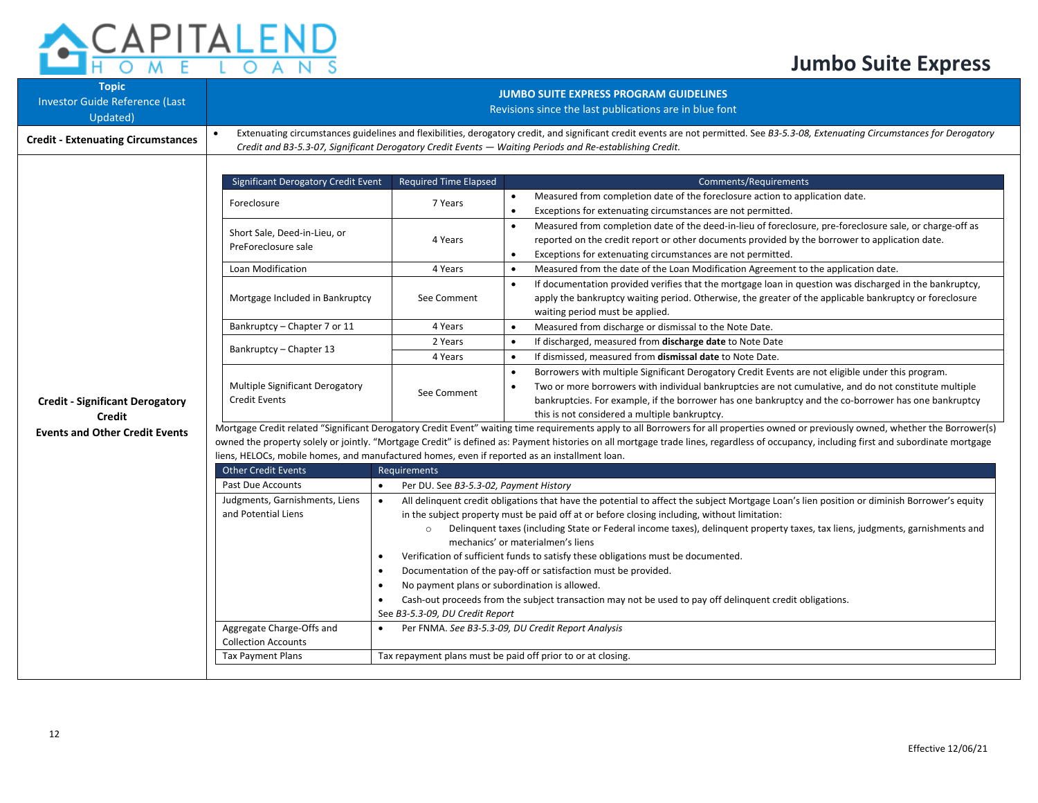

| <b>Topic</b><br><b>Investor Guide Reference (Last</b><br>Updated) | <b>JUMBO SUITE EXPRESS PROGRAM GUIDELINES</b><br>Revisions since the last publications are in blue font                                                                                 |                                                                                                                                                                                                                                                                                                 |                                                                                                                                                       |  |  |  |  |
|-------------------------------------------------------------------|-----------------------------------------------------------------------------------------------------------------------------------------------------------------------------------------|-------------------------------------------------------------------------------------------------------------------------------------------------------------------------------------------------------------------------------------------------------------------------------------------------|-------------------------------------------------------------------------------------------------------------------------------------------------------|--|--|--|--|
| <b>Credit - Extenuating Circumstances</b>                         |                                                                                                                                                                                         | Extenuating circumstances guidelines and flexibilities, derogatory credit, and significant credit events are not permitted. See B3-5.3-08, Extenuating Circumstances for Derogatory<br>Credit and B3-5.3-07, Significant Derogatory Credit Events - Waiting Periods and Re-establishing Credit. |                                                                                                                                                       |  |  |  |  |
|                                                                   | <b>Significant Derogatory Credit Event</b>                                                                                                                                              | <b>Required Time Elapsed</b>                                                                                                                                                                                                                                                                    | <b>Comments/Requirements</b>                                                                                                                          |  |  |  |  |
|                                                                   |                                                                                                                                                                                         |                                                                                                                                                                                                                                                                                                 | Measured from completion date of the foreclosure action to application date.                                                                          |  |  |  |  |
|                                                                   | Foreclosure                                                                                                                                                                             | 7 Years                                                                                                                                                                                                                                                                                         | $\bullet$<br>$\bullet$<br>Exceptions for extenuating circumstances are not permitted.                                                                 |  |  |  |  |
|                                                                   | Short Sale, Deed-in-Lieu, or                                                                                                                                                            |                                                                                                                                                                                                                                                                                                 | Measured from completion date of the deed-in-lieu of foreclosure, pre-foreclosure sale, or charge-off as<br>$\bullet$                                 |  |  |  |  |
|                                                                   | PreForeclosure sale                                                                                                                                                                     | 4 Years                                                                                                                                                                                                                                                                                         | reported on the credit report or other documents provided by the borrower to application date.                                                        |  |  |  |  |
|                                                                   |                                                                                                                                                                                         |                                                                                                                                                                                                                                                                                                 | Exceptions for extenuating circumstances are not permitted.<br>$\bullet$                                                                              |  |  |  |  |
|                                                                   | Loan Modification                                                                                                                                                                       | 4 Years                                                                                                                                                                                                                                                                                         | Measured from the date of the Loan Modification Agreement to the application date.<br>$\bullet$                                                       |  |  |  |  |
|                                                                   |                                                                                                                                                                                         |                                                                                                                                                                                                                                                                                                 | If documentation provided verifies that the mortgage loan in question was discharged in the bankruptcy,                                               |  |  |  |  |
|                                                                   | Mortgage Included in Bankruptcy                                                                                                                                                         | See Comment                                                                                                                                                                                                                                                                                     | apply the bankruptcy waiting period. Otherwise, the greater of the applicable bankruptcy or foreclosure                                               |  |  |  |  |
|                                                                   |                                                                                                                                                                                         |                                                                                                                                                                                                                                                                                                 | waiting period must be applied.                                                                                                                       |  |  |  |  |
|                                                                   | Bankruptcy - Chapter 7 or 11                                                                                                                                                            | 4 Years                                                                                                                                                                                                                                                                                         | Measured from discharge or dismissal to the Note Date.<br>$\bullet$                                                                                   |  |  |  |  |
|                                                                   | Bankruptcy - Chapter 13                                                                                                                                                                 | 2 Years                                                                                                                                                                                                                                                                                         | If discharged, measured from discharge date to Note Date<br>$\bullet$                                                                                 |  |  |  |  |
|                                                                   |                                                                                                                                                                                         | 4 Years                                                                                                                                                                                                                                                                                         | If dismissed, measured from dismissal date to Note Date.                                                                                              |  |  |  |  |
|                                                                   |                                                                                                                                                                                         | See Comment                                                                                                                                                                                                                                                                                     | Borrowers with multiple Significant Derogatory Credit Events are not eligible under this program.<br>$\bullet$                                        |  |  |  |  |
|                                                                   | Multiple Significant Derogatory<br><b>Credit Events</b>                                                                                                                                 |                                                                                                                                                                                                                                                                                                 | Two or more borrowers with individual bankruptcies are not cumulative, and do not constitute multiple                                                 |  |  |  |  |
| <b>Credit - Significant Derogatory</b>                            |                                                                                                                                                                                         |                                                                                                                                                                                                                                                                                                 | bankruptcies. For example, if the borrower has one bankruptcy and the co-borrower has one bankruptcy<br>this is not considered a multiple bankruptcy. |  |  |  |  |
| <b>Credit</b>                                                     |                                                                                                                                                                                         | Mortgage Credit related "Significant Derogatory Credit Event" waiting time requirements apply to all Borrowers for all properties owned or previously owned, whether the Borrower(s)                                                                                                            |                                                                                                                                                       |  |  |  |  |
| <b>Events and Other Credit Events</b>                             | owned the property solely or jointly. "Mortgage Credit" is defined as: Payment histories on all mortgage trade lines, regardless of occupancy, including first and subordinate mortgage |                                                                                                                                                                                                                                                                                                 |                                                                                                                                                       |  |  |  |  |
|                                                                   | liens, HELOCs, mobile homes, and manufactured homes, even if reported as an installment loan.                                                                                           |                                                                                                                                                                                                                                                                                                 |                                                                                                                                                       |  |  |  |  |
|                                                                   | <b>Other Credit Events</b>                                                                                                                                                              | Requirements                                                                                                                                                                                                                                                                                    |                                                                                                                                                       |  |  |  |  |
|                                                                   | Past Due Accounts<br>$\bullet$                                                                                                                                                          | Per DU. See B3-5.3-02, Payment History                                                                                                                                                                                                                                                          |                                                                                                                                                       |  |  |  |  |
|                                                                   | Judgments, Garnishments, Liens                                                                                                                                                          | All delinguent credit obligations that have the potential to affect the subject Mortgage Loan's lien position or diminish Borrower's equity                                                                                                                                                     |                                                                                                                                                       |  |  |  |  |
|                                                                   | and Potential Liens                                                                                                                                                                     |                                                                                                                                                                                                                                                                                                 | in the subject property must be paid off at or before closing including, without limitation:                                                          |  |  |  |  |
|                                                                   |                                                                                                                                                                                         | $\circ$                                                                                                                                                                                                                                                                                         | Delinguent taxes (including State or Federal income taxes), delinguent property taxes, tax liens, judgments, garnishments and                         |  |  |  |  |
|                                                                   |                                                                                                                                                                                         |                                                                                                                                                                                                                                                                                                 | mechanics' or materialmen's liens                                                                                                                     |  |  |  |  |
|                                                                   |                                                                                                                                                                                         | Verification of sufficient funds to satisfy these obligations must be documented.<br>Documentation of the pay-off or satisfaction must be provided.                                                                                                                                             |                                                                                                                                                       |  |  |  |  |
|                                                                   | $\bullet$                                                                                                                                                                               | No payment plans or subordination is allowed.                                                                                                                                                                                                                                                   |                                                                                                                                                       |  |  |  |  |
|                                                                   | $\bullet$                                                                                                                                                                               |                                                                                                                                                                                                                                                                                                 | Cash-out proceeds from the subject transaction may not be used to pay off delinquent credit obligations.                                              |  |  |  |  |
|                                                                   |                                                                                                                                                                                         | See B3-5.3-09, DU Credit Report                                                                                                                                                                                                                                                                 |                                                                                                                                                       |  |  |  |  |
|                                                                   | Aggregate Charge-Offs and                                                                                                                                                               |                                                                                                                                                                                                                                                                                                 | Per FNMA. See B3-5.3-09, DU Credit Report Analysis                                                                                                    |  |  |  |  |
|                                                                   | <b>Collection Accounts</b>                                                                                                                                                              |                                                                                                                                                                                                                                                                                                 |                                                                                                                                                       |  |  |  |  |
|                                                                   | <b>Tax Payment Plans</b>                                                                                                                                                                |                                                                                                                                                                                                                                                                                                 | Tax repayment plans must be paid off prior to or at closing.                                                                                          |  |  |  |  |
|                                                                   |                                                                                                                                                                                         |                                                                                                                                                                                                                                                                                                 |                                                                                                                                                       |  |  |  |  |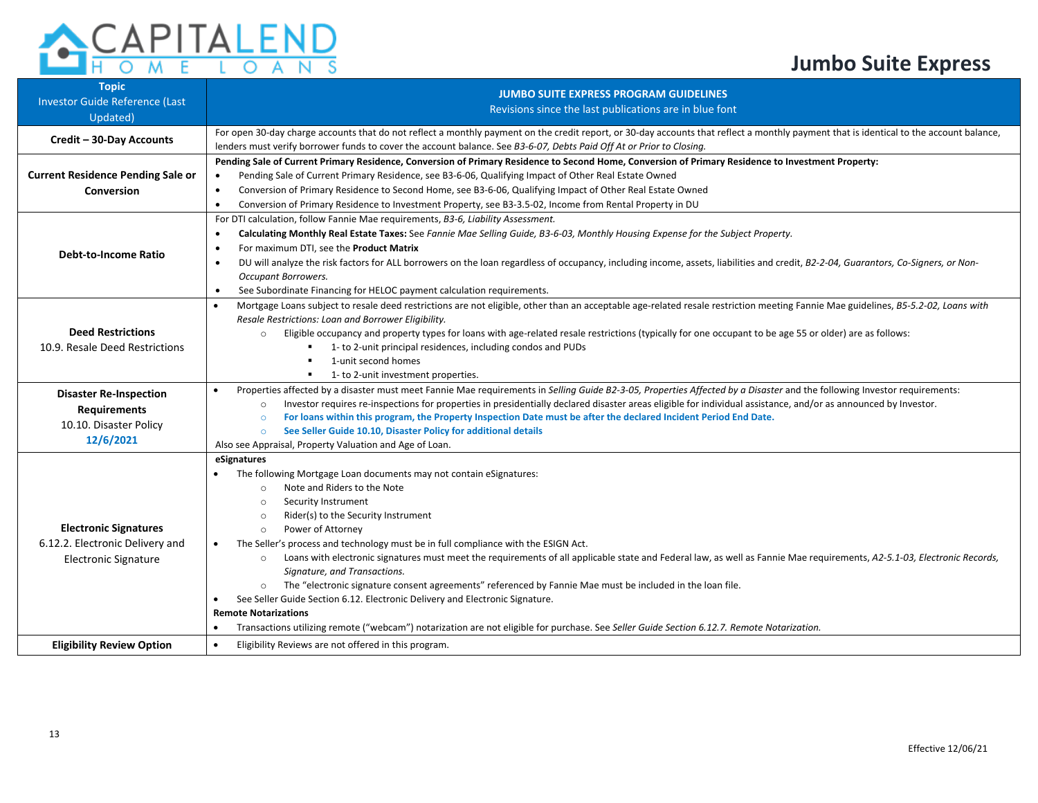

| <b>Topic</b><br>Investor Guide Reference (Last<br>Updated)                                     | <b>JUMBO SUITE EXPRESS PROGRAM GUIDELINES</b><br>Revisions since the last publications are in blue font                                                                                                                                                                                                                                                                                                                                                                                                                                                                                                                                                                                                                                                                                                                                                                                                                                          |
|------------------------------------------------------------------------------------------------|--------------------------------------------------------------------------------------------------------------------------------------------------------------------------------------------------------------------------------------------------------------------------------------------------------------------------------------------------------------------------------------------------------------------------------------------------------------------------------------------------------------------------------------------------------------------------------------------------------------------------------------------------------------------------------------------------------------------------------------------------------------------------------------------------------------------------------------------------------------------------------------------------------------------------------------------------|
| Credit - 30-Day Accounts                                                                       | For open 30-day charge accounts that do not reflect a monthly payment on the credit report, or 30-day accounts that reflect a monthly payment that is identical to the account balance,<br>lenders must verify borrower funds to cover the account balance. See B3-6-07, Debts Paid Off At or Prior to Closing.                                                                                                                                                                                                                                                                                                                                                                                                                                                                                                                                                                                                                                  |
| <b>Current Residence Pending Sale or</b><br><b>Conversion</b>                                  | Pending Sale of Current Primary Residence, Conversion of Primary Residence to Second Home, Conversion of Primary Residence to Investment Property:<br>Pending Sale of Current Primary Residence, see B3-6-06, Qualifying Impact of Other Real Estate Owned<br>Conversion of Primary Residence to Second Home, see B3-6-06, Qualifying Impact of Other Real Estate Owned<br>$\bullet$<br>Conversion of Primary Residence to Investment Property, see B3-3.5-02, Income from Rental Property in DU<br>$\bullet$                                                                                                                                                                                                                                                                                                                                                                                                                                    |
| <b>Debt-to-Income Ratio</b>                                                                    | For DTI calculation, follow Fannie Mae requirements, B3-6, Liability Assessment.<br>Calculating Monthly Real Estate Taxes: See Fannie Mae Selling Guide, B3-6-03, Monthly Housing Expense for the Subject Property.<br>$\bullet$<br>For maximum DTI, see the <b>Product Matrix</b><br>$\bullet$<br>DU will analyze the risk factors for ALL borrowers on the loan regardless of occupancy, including income, assets, liabilities and credit, B2-2-04, Guarantors, Co-Signers, or Non-<br>$\bullet$<br>Occupant Borrowers.<br>See Subordinate Financing for HELOC payment calculation requirements.<br>$\bullet$                                                                                                                                                                                                                                                                                                                                  |
| <b>Deed Restrictions</b><br>10.9. Resale Deed Restrictions                                     | Mortgage Loans subject to resale deed restrictions are not eligible, other than an acceptable age-related resale restriction meeting Fannie Mae guidelines, B5-5.2-02, Loans with<br>$\bullet$<br>Resale Restrictions: Loan and Borrower Eligibility.<br>Eligible occupancy and property types for loans with age-related resale restrictions (typically for one occupant to be age 55 or older) are as follows:<br>$\Omega$<br>1- to 2-unit principal residences, including condos and PUDs<br>1-unit second homes<br>1- to 2-unit investment properties.                                                                                                                                                                                                                                                                                                                                                                                       |
| <b>Disaster Re-Inspection</b><br><b>Requirements</b><br>10.10. Disaster Policy<br>12/6/2021    | Properties affected by a disaster must meet Fannie Mae requirements in Selling Guide B2-3-05, Properties Affected by a Disaster and the following Investor requirements:<br>$\bullet$<br>Investor requires re-inspections for properties in presidentially declared disaster areas eligible for individual assistance, and/or as announced by Investor.<br>$\circ$<br>For loans within this program, the Property Inspection Date must be after the declared Incident Period End Date.<br>$\circ$<br>See Seller Guide 10.10, Disaster Policy for additional details<br>$\circ$<br>Also see Appraisal, Property Valuation and Age of Loan.                                                                                                                                                                                                                                                                                                        |
| <b>Electronic Signatures</b><br>6.12.2. Electronic Delivery and<br><b>Electronic Signature</b> | eSignatures<br>The following Mortgage Loan documents may not contain eSignatures:<br>Note and Riders to the Note<br>$\circ$<br>Security Instrument<br>$\circ$<br>Rider(s) to the Security Instrument<br>$\circ$<br>Power of Attorney<br>$\circ$<br>The Seller's process and technology must be in full compliance with the ESIGN Act.<br>Loans with electronic signatures must meet the requirements of all applicable state and Federal law, as well as Fannie Mae requirements, A2-5.1-03, Electronic Records,<br>$\circ$<br>Signature, and Transactions.<br>The "electronic signature consent agreements" referenced by Fannie Mae must be included in the loan file.<br>$\circ$<br>See Seller Guide Section 6.12. Electronic Delivery and Electronic Signature.<br><b>Remote Notarizations</b><br>Transactions utilizing remote ("webcam") notarization are not eligible for purchase. See Seller Guide Section 6.12.7. Remote Notarization. |
| <b>Eligibility Review Option</b>                                                               | Eligibility Reviews are not offered in this program.<br>$\bullet$                                                                                                                                                                                                                                                                                                                                                                                                                                                                                                                                                                                                                                                                                                                                                                                                                                                                                |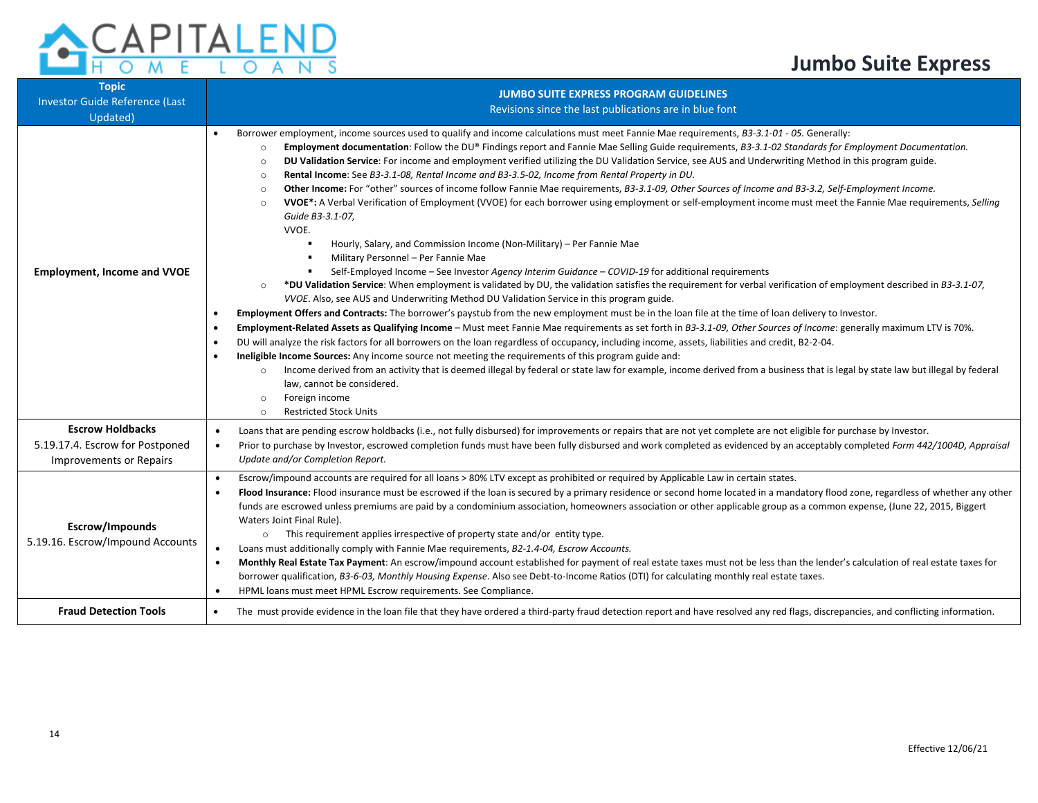| <b>ACAPITALEND</b> |  |  |  |  |  |
|--------------------|--|--|--|--|--|
| <b>ENTOMETOANS</b> |  |  |  |  |  |

| <b>Topic</b>                                                                                 |                                                                                                                                                                                                                                                                                                                                                                                                                                                                                                                                                                                                                                                                                                                                                                                                                                                                                                                                                                                                                                                                                                                                                                                                                                                                                                                                                                                                                                                                                                                                                                                                                                                                                                                                                                                                                                                                                                                                                                                                                                                                                                                                                                                                                                                                                                                                                                                                                                                          |  |  |  |
|----------------------------------------------------------------------------------------------|----------------------------------------------------------------------------------------------------------------------------------------------------------------------------------------------------------------------------------------------------------------------------------------------------------------------------------------------------------------------------------------------------------------------------------------------------------------------------------------------------------------------------------------------------------------------------------------------------------------------------------------------------------------------------------------------------------------------------------------------------------------------------------------------------------------------------------------------------------------------------------------------------------------------------------------------------------------------------------------------------------------------------------------------------------------------------------------------------------------------------------------------------------------------------------------------------------------------------------------------------------------------------------------------------------------------------------------------------------------------------------------------------------------------------------------------------------------------------------------------------------------------------------------------------------------------------------------------------------------------------------------------------------------------------------------------------------------------------------------------------------------------------------------------------------------------------------------------------------------------------------------------------------------------------------------------------------------------------------------------------------------------------------------------------------------------------------------------------------------------------------------------------------------------------------------------------------------------------------------------------------------------------------------------------------------------------------------------------------------------------------------------------------------------------------------------------------|--|--|--|
| <b>Investor Guide Reference (Last</b>                                                        | <b>JUMBO SUITE EXPRESS PROGRAM GUIDELINES</b>                                                                                                                                                                                                                                                                                                                                                                                                                                                                                                                                                                                                                                                                                                                                                                                                                                                                                                                                                                                                                                                                                                                                                                                                                                                                                                                                                                                                                                                                                                                                                                                                                                                                                                                                                                                                                                                                                                                                                                                                                                                                                                                                                                                                                                                                                                                                                                                                            |  |  |  |
| Updated)                                                                                     | Revisions since the last publications are in blue font                                                                                                                                                                                                                                                                                                                                                                                                                                                                                                                                                                                                                                                                                                                                                                                                                                                                                                                                                                                                                                                                                                                                                                                                                                                                                                                                                                                                                                                                                                                                                                                                                                                                                                                                                                                                                                                                                                                                                                                                                                                                                                                                                                                                                                                                                                                                                                                                   |  |  |  |
| <b>Employment, Income and VVOE</b>                                                           | Borrower employment, income sources used to qualify and income calculations must meet Fannie Mae requirements, B3-3.1-01 - 05. Generally:<br>$\bullet$<br>Employment documentation: Follow the DU® Findings report and Fannie Mae Selling Guide requirements, B3-3.1-02 Standards for Employment Documentation.<br>$\circ$<br>DU Validation Service: For income and employment verified utilizing the DU Validation Service, see AUS and Underwriting Method in this program guide.<br>$\circ$<br>Rental Income: See B3-3.1-08, Rental Income and B3-3.5-02, Income from Rental Property in DU.<br>$\circ$<br>Other Income: For "other" sources of income follow Fannie Mae requirements, B3-3.1-09, Other Sources of Income and B3-3.2, Self-Employment Income.<br>$\circ$<br>VVOE*: A Verbal Verification of Employment (VVOE) for each borrower using employment or self-employment income must meet the Fannie Mae requirements, Selling<br>$\circ$<br>Guide B3-3.1-07,<br>VVOE.<br>Hourly, Salary, and Commission Income (Non-Military) - Per Fannie Mae<br>Military Personnel - Per Fannie Mae<br>$\blacksquare$<br>Self-Employed Income - See Investor Agency Interim Guidance - COVID-19 for additional requirements<br>٠<br>*DU Validation Service: When employment is validated by DU, the validation satisfies the requirement for verbal verification of employment described in B3-3.1-07,<br>$\circ$<br>VVOE. Also, see AUS and Underwriting Method DU Validation Service in this program guide.<br>Employment Offers and Contracts: The borrower's paystub from the new employment must be in the loan file at the time of loan delivery to Investor.<br>$\bullet$<br>Employment-Related Assets as Qualifying Income - Must meet Fannie Mae requirements as set forth in B3-3.1-09, Other Sources of Income: generally maximum LTV is 70%.<br>$\bullet$<br>DU will analyze the risk factors for all borrowers on the loan regardless of occupancy, including income, assets, liabilities and credit, B2-2-04.<br>$\bullet$<br>Ineligible Income Sources: Any income source not meeting the requirements of this program guide and:<br>٠<br>Income derived from an activity that is deemed illegal by federal or state law for example, income derived from a business that is legal by state law but illegal by federal<br>$\circ$<br>law, cannot be considered.<br>Foreign income<br>$\circ$<br><b>Restricted Stock Units</b><br>$\circ$ |  |  |  |
| <b>Escrow Holdbacks</b><br>5.19.17.4. Escrow for Postponed<br><b>Improvements or Repairs</b> | Loans that are pending escrow holdbacks (i.e., not fully disbursed) for improvements or repairs that are not yet complete are not eligible for purchase by Investor.<br>$\bullet$<br>Prior to purchase by Investor, escrowed completion funds must have been fully disbursed and work completed as evidenced by an acceptably completed Form 442/1004D, Appraisal<br>$\bullet$<br>Update and/or Completion Report.                                                                                                                                                                                                                                                                                                                                                                                                                                                                                                                                                                                                                                                                                                                                                                                                                                                                                                                                                                                                                                                                                                                                                                                                                                                                                                                                                                                                                                                                                                                                                                                                                                                                                                                                                                                                                                                                                                                                                                                                                                       |  |  |  |
| Escrow/Impounds<br>5.19.16. Escrow/Impound Accounts                                          | Escrow/impound accounts are required for all loans > 80% LTV except as prohibited or required by Applicable Law in certain states.<br>$\bullet$<br>Flood Insurance: Flood insurance must be escrowed if the loan is secured by a primary residence or second home located in a mandatory flood zone, regardless of whether any other<br>$\bullet$<br>funds are escrowed unless premiums are paid by a condominium association, homeowners association or other applicable group as a common expense, (June 22, 2015, Biggert<br>Waters Joint Final Rule).<br>o This requirement applies irrespective of property state and/or entity type.<br>Loans must additionally comply with Fannie Mae requirements, B2-1.4-04, Escrow Accounts.<br>$\bullet$<br>Monthly Real Estate Tax Payment: An escrow/impound account established for payment of real estate taxes must not be less than the lender's calculation of real estate taxes for<br>$\bullet$<br>borrower qualification, B3-6-03, Monthly Housing Expense. Also see Debt-to-Income Ratios (DTI) for calculating monthly real estate taxes.<br>HPML loans must meet HPML Escrow requirements. See Compliance.<br>$\bullet$                                                                                                                                                                                                                                                                                                                                                                                                                                                                                                                                                                                                                                                                                                                                                                                                                                                                                                                                                                                                                                                                                                                                                                                                                                                                          |  |  |  |
| <b>Fraud Detection Tools</b>                                                                 | The must provide evidence in the loan file that they have ordered a third-party fraud detection report and have resolved any red flags, discrepancies, and conflicting information.<br>$\bullet$                                                                                                                                                                                                                                                                                                                                                                                                                                                                                                                                                                                                                                                                                                                                                                                                                                                                                                                                                                                                                                                                                                                                                                                                                                                                                                                                                                                                                                                                                                                                                                                                                                                                                                                                                                                                                                                                                                                                                                                                                                                                                                                                                                                                                                                         |  |  |  |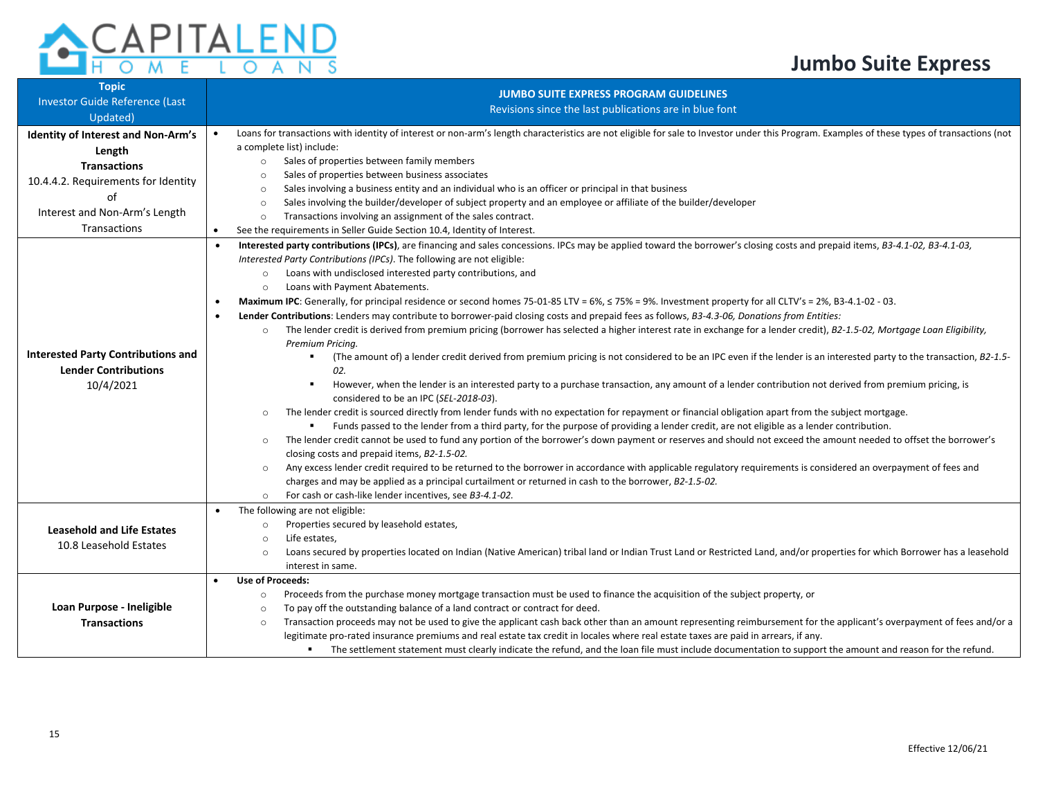

| <b>Topic</b>                              | <b>JUMBO SUITE EXPRESS PROGRAM GUIDELINES</b>                                                                                                                                                                                                            |  |  |  |  |
|-------------------------------------------|----------------------------------------------------------------------------------------------------------------------------------------------------------------------------------------------------------------------------------------------------------|--|--|--|--|
| Investor Guide Reference (Last            | Revisions since the last publications are in blue font                                                                                                                                                                                                   |  |  |  |  |
| Updated)                                  |                                                                                                                                                                                                                                                          |  |  |  |  |
| <b>Identity of Interest and Non-Arm's</b> | Loans for transactions with identity of interest or non-arm's length characteristics are not eligible for sale to Investor under this Program. Examples of these types of transactions (not                                                              |  |  |  |  |
| Length                                    | a complete list) include:                                                                                                                                                                                                                                |  |  |  |  |
| <b>Transactions</b>                       | Sales of properties between family members<br>$\circ$                                                                                                                                                                                                    |  |  |  |  |
| 10.4.4.2. Requirements for Identity       | Sales of properties between business associates<br>$\circ$                                                                                                                                                                                               |  |  |  |  |
| of                                        | Sales involving a business entity and an individual who is an officer or principal in that business<br>$\circ$                                                                                                                                           |  |  |  |  |
| Interest and Non-Arm's Length             | Sales involving the builder/developer of subject property and an employee or affiliate of the builder/developer<br>$\circ$                                                                                                                               |  |  |  |  |
| Transactions                              | Transactions involving an assignment of the sales contract.<br>$\circ$                                                                                                                                                                                   |  |  |  |  |
|                                           | See the requirements in Seller Guide Section 10.4, Identity of Interest.<br>Interested party contributions (IPCs), are financing and sales concessions. IPCs may be applied toward the borrower's closing costs and prepaid items, B3-4.1-02, B3-4.1-03, |  |  |  |  |
|                                           | Interested Party Contributions (IPCs). The following are not eligible:                                                                                                                                                                                   |  |  |  |  |
|                                           | Loans with undisclosed interested party contributions, and<br>$\circ$                                                                                                                                                                                    |  |  |  |  |
|                                           | Loans with Payment Abatements.<br>$\circ$                                                                                                                                                                                                                |  |  |  |  |
|                                           | Maximum IPC: Generally, for principal residence or second homes 75-01-85 LTV = 6%, $\leq$ 75% = 9%. Investment property for all CLTV's = 2%, B3-4.1-02 - 03.<br>$\bullet$                                                                                |  |  |  |  |
|                                           | Lender Contributions: Lenders may contribute to borrower-paid closing costs and prepaid fees as follows, B3-4.3-06, Donations from Entities:<br>$\bullet$                                                                                                |  |  |  |  |
|                                           | The lender credit is derived from premium pricing (borrower has selected a higher interest rate in exchange for a lender credit), B2-1.5-02, Mortgage Loan Eligibility,<br>$\circ$                                                                       |  |  |  |  |
|                                           | Premium Pricing.                                                                                                                                                                                                                                         |  |  |  |  |
| <b>Interested Party Contributions and</b> | (The amount of) a lender credit derived from premium pricing is not considered to be an IPC even if the lender is an interested party to the transaction, B2-1.5-                                                                                        |  |  |  |  |
| <b>Lender Contributions</b>               | 02.                                                                                                                                                                                                                                                      |  |  |  |  |
| 10/4/2021                                 | However, when the lender is an interested party to a purchase transaction, any amount of a lender contribution not derived from premium pricing, is<br>٠                                                                                                 |  |  |  |  |
|                                           | considered to be an IPC (SEL-2018-03).                                                                                                                                                                                                                   |  |  |  |  |
|                                           | The lender credit is sourced directly from lender funds with no expectation for repayment or financial obligation apart from the subject mortgage.<br>$\circ$                                                                                            |  |  |  |  |
|                                           | Funds passed to the lender from a third party, for the purpose of providing a lender credit, are not eligible as a lender contribution.                                                                                                                  |  |  |  |  |
|                                           | The lender credit cannot be used to fund any portion of the borrower's down payment or reserves and should not exceed the amount needed to offset the borrower's<br>$\circ$                                                                              |  |  |  |  |
|                                           | closing costs and prepaid items, B2-1.5-02.                                                                                                                                                                                                              |  |  |  |  |
|                                           | Any excess lender credit required to be returned to the borrower in accordance with applicable regulatory requirements is considered an overpayment of fees and<br>$\circ$                                                                               |  |  |  |  |
|                                           | charges and may be applied as a principal curtailment or returned in cash to the borrower, B2-1.5-02.                                                                                                                                                    |  |  |  |  |
|                                           | For cash or cash-like lender incentives, see B3-4.1-02.<br>$\Omega$                                                                                                                                                                                      |  |  |  |  |
|                                           | The following are not eligible:                                                                                                                                                                                                                          |  |  |  |  |
| <b>Leasehold and Life Estates</b>         | Properties secured by leasehold estates,<br>$\circ$                                                                                                                                                                                                      |  |  |  |  |
| 10.8 Leasehold Estates                    | Life estates,<br>$\circ$                                                                                                                                                                                                                                 |  |  |  |  |
|                                           | Loans secured by properties located on Indian (Native American) tribal land or Indian Trust Land or Restricted Land, and/or properties for which Borrower has a leasehold<br>$\circ$                                                                     |  |  |  |  |
|                                           | interest in same.                                                                                                                                                                                                                                        |  |  |  |  |
|                                           | <b>Use of Proceeds:</b>                                                                                                                                                                                                                                  |  |  |  |  |
|                                           | Proceeds from the purchase money mortgage transaction must be used to finance the acquisition of the subject property, or<br>$\circ$                                                                                                                     |  |  |  |  |
| Loan Purpose - Ineligible                 | To pay off the outstanding balance of a land contract or contract for deed.<br>$\circ$                                                                                                                                                                   |  |  |  |  |
| <b>Transactions</b>                       | Transaction proceeds may not be used to give the applicant cash back other than an amount representing reimbursement for the applicant's overpayment of fees and/or a<br>$\circ$                                                                         |  |  |  |  |
|                                           | legitimate pro-rated insurance premiums and real estate tax credit in locales where real estate taxes are paid in arrears, if any.                                                                                                                       |  |  |  |  |
|                                           | The settlement statement must clearly indicate the refund, and the loan file must include documentation to support the amount and reason for the refund.                                                                                                 |  |  |  |  |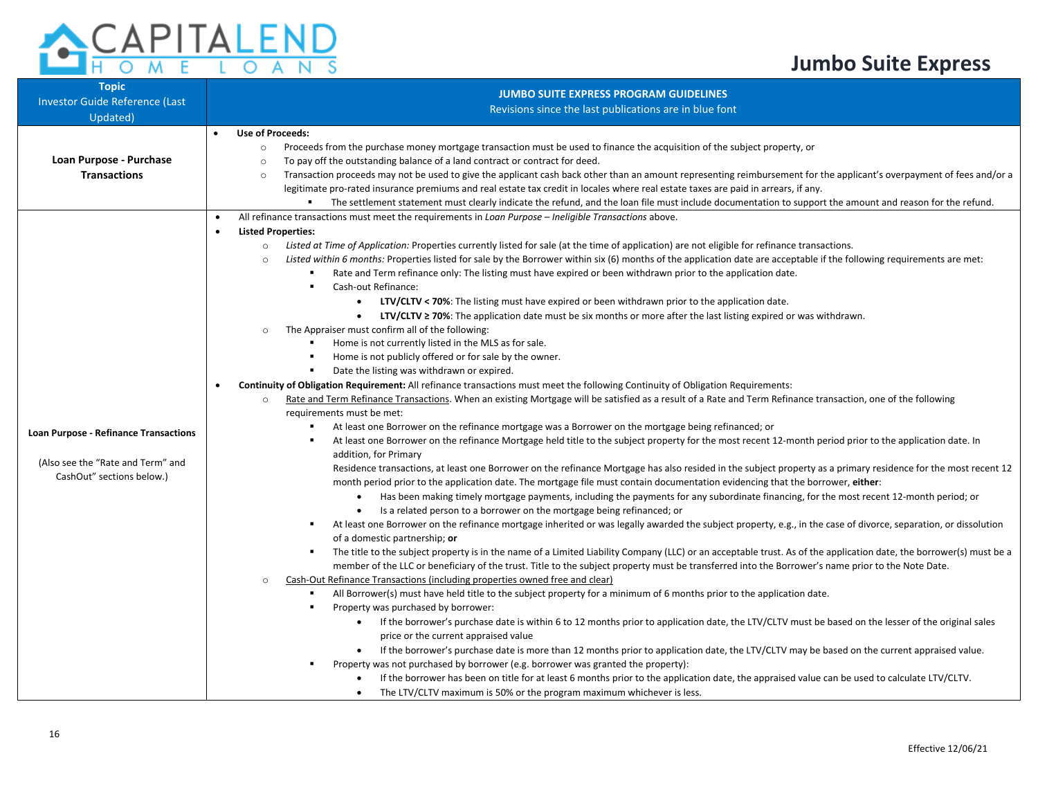#### n.  $\overline{\mathsf{A}}$  $\overline{\Omega}$  $\overline{\mathsf{N}}$  $\overline{\mathsf{s}}$

| <b>Topic</b>                                 | <b>JUMBO SUITE EXPRESS PROGRAM GUIDELINES</b>                                                                                                                                     |  |  |  |  |
|----------------------------------------------|-----------------------------------------------------------------------------------------------------------------------------------------------------------------------------------|--|--|--|--|
| Investor Guide Reference (Last               | Revisions since the last publications are in blue font                                                                                                                            |  |  |  |  |
| Updated)                                     |                                                                                                                                                                                   |  |  |  |  |
|                                              | <b>Use of Proceeds:</b>                                                                                                                                                           |  |  |  |  |
|                                              | Proceeds from the purchase money mortgage transaction must be used to finance the acquisition of the subject property, or<br>$\circ$                                              |  |  |  |  |
| Loan Purpose - Purchase                      | To pay off the outstanding balance of a land contract or contract for deed.<br>$\circ$                                                                                            |  |  |  |  |
| <b>Transactions</b>                          | Transaction proceeds may not be used to give the applicant cash back other than an amount representing reimbursement for the applicant's overpayment of fees and/or a<br>$\circ$  |  |  |  |  |
|                                              | legitimate pro-rated insurance premiums and real estate tax credit in locales where real estate taxes are paid in arrears, if any.                                                |  |  |  |  |
|                                              | The settlement statement must clearly indicate the refund, and the loan file must include documentation to support the amount and reason for the refund.                          |  |  |  |  |
|                                              | All refinance transactions must meet the requirements in Loan Purpose - Ineligible Transactions above.<br>$\bullet$                                                               |  |  |  |  |
|                                              | <b>Listed Properties:</b>                                                                                                                                                         |  |  |  |  |
|                                              | Listed at Time of Application: Properties currently listed for sale (at the time of application) are not eligible for refinance transactions.<br>$\circ$                          |  |  |  |  |
|                                              | Listed within 6 months: Properties listed for sale by the Borrower within six (6) months of the application date are acceptable if the following requirements are met:<br>$\circ$ |  |  |  |  |
|                                              | Rate and Term refinance only: The listing must have expired or been withdrawn prior to the application date.                                                                      |  |  |  |  |
|                                              | Cash-out Refinance:                                                                                                                                                               |  |  |  |  |
|                                              | LTV/CLTV < 70%: The listing must have expired or been withdrawn prior to the application date.<br>$\bullet$                                                                       |  |  |  |  |
|                                              | <b>LTV/CLTV ≥ 70%:</b> The application date must be six months or more after the last listing expired or was withdrawn.                                                           |  |  |  |  |
|                                              | The Appraiser must confirm all of the following:                                                                                                                                  |  |  |  |  |
|                                              | Home is not currently listed in the MLS as for sale.                                                                                                                              |  |  |  |  |
|                                              | Home is not publicly offered or for sale by the owner.                                                                                                                            |  |  |  |  |
|                                              | Date the listing was withdrawn or expired.                                                                                                                                        |  |  |  |  |
|                                              | Continuity of Obligation Requirement: All refinance transactions must meet the following Continuity of Obligation Requirements:                                                   |  |  |  |  |
|                                              | Rate and Term Refinance Transactions. When an existing Mortgage will be satisfied as a result of a Rate and Term Refinance transaction, one of the following                      |  |  |  |  |
|                                              | requirements must be met:                                                                                                                                                         |  |  |  |  |
| <b>Loan Purpose - Refinance Transactions</b> | At least one Borrower on the refinance mortgage was a Borrower on the mortgage being refinanced; or                                                                               |  |  |  |  |
|                                              | At least one Borrower on the refinance Mortgage held title to the subject property for the most recent 12-month period prior to the application date. In                          |  |  |  |  |
| (Also see the "Rate and Term" and            | addition, for Primary                                                                                                                                                             |  |  |  |  |
| CashOut" sections below.)                    | Residence transactions, at least one Borrower on the refinance Mortgage has also resided in the subject property as a primary residence for the most recent 12                    |  |  |  |  |
|                                              | month period prior to the application date. The mortgage file must contain documentation evidencing that the borrower, either:                                                    |  |  |  |  |
|                                              | Has been making timely mortgage payments, including the payments for any subordinate financing, for the most recent 12-month period; or<br>$\bullet$                              |  |  |  |  |
|                                              | Is a related person to a borrower on the mortgage being refinanced; or                                                                                                            |  |  |  |  |
|                                              | At least one Borrower on the refinance mortgage inherited or was legally awarded the subject property, e.g., in the case of divorce, separation, or dissolution                   |  |  |  |  |
|                                              | of a domestic partnership; or                                                                                                                                                     |  |  |  |  |
|                                              | The title to the subject property is in the name of a Limited Liability Company (LLC) or an acceptable trust. As of the application date, the borrower(s) must be a<br>л.         |  |  |  |  |
|                                              | member of the LLC or beneficiary of the trust. Title to the subject property must be transferred into the Borrower's name prior to the Note Date.                                 |  |  |  |  |
|                                              | Cash-Out Refinance Transactions (including properties owned free and clear)<br>$\circ$                                                                                            |  |  |  |  |
|                                              | All Borrower(s) must have held title to the subject property for a minimum of 6 months prior to the application date.                                                             |  |  |  |  |
|                                              | Property was purchased by borrower:                                                                                                                                               |  |  |  |  |
|                                              | If the borrower's purchase date is within 6 to 12 months prior to application date, the LTV/CLTV must be based on the lesser of the original sales                                |  |  |  |  |
|                                              | price or the current appraised value                                                                                                                                              |  |  |  |  |
|                                              | If the borrower's purchase date is more than 12 months prior to application date, the LTV/CLTV may be based on the current appraised value.                                       |  |  |  |  |
|                                              | Property was not purchased by borrower (e.g. borrower was granted the property):                                                                                                  |  |  |  |  |
|                                              | If the borrower has been on title for at least 6 months prior to the application date, the appraised value can be used to calculate LTV/CLTV.                                     |  |  |  |  |
|                                              | The LTV/CLTV maximum is 50% or the program maximum whichever is less.<br>$\bullet$                                                                                                |  |  |  |  |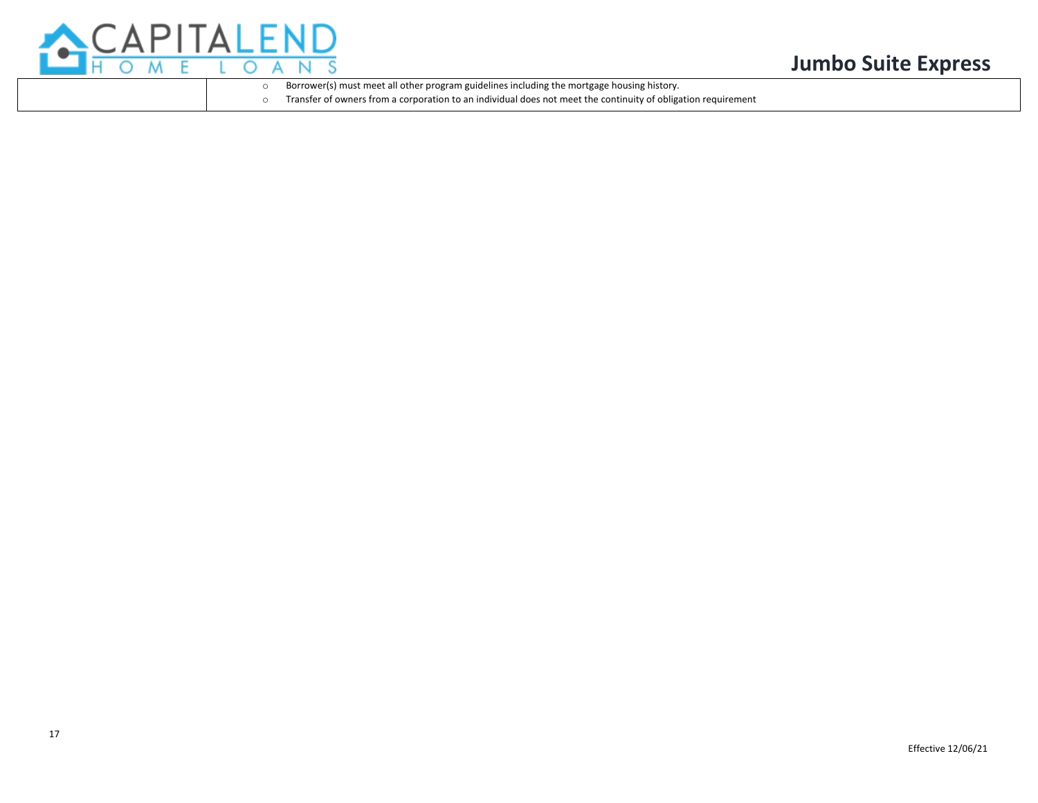

o Borrower(s) must meet all other program guidelines including the mortgage housing history.

Transfer of owners from a corporation to an individual does not meet the continuity of obligation requirement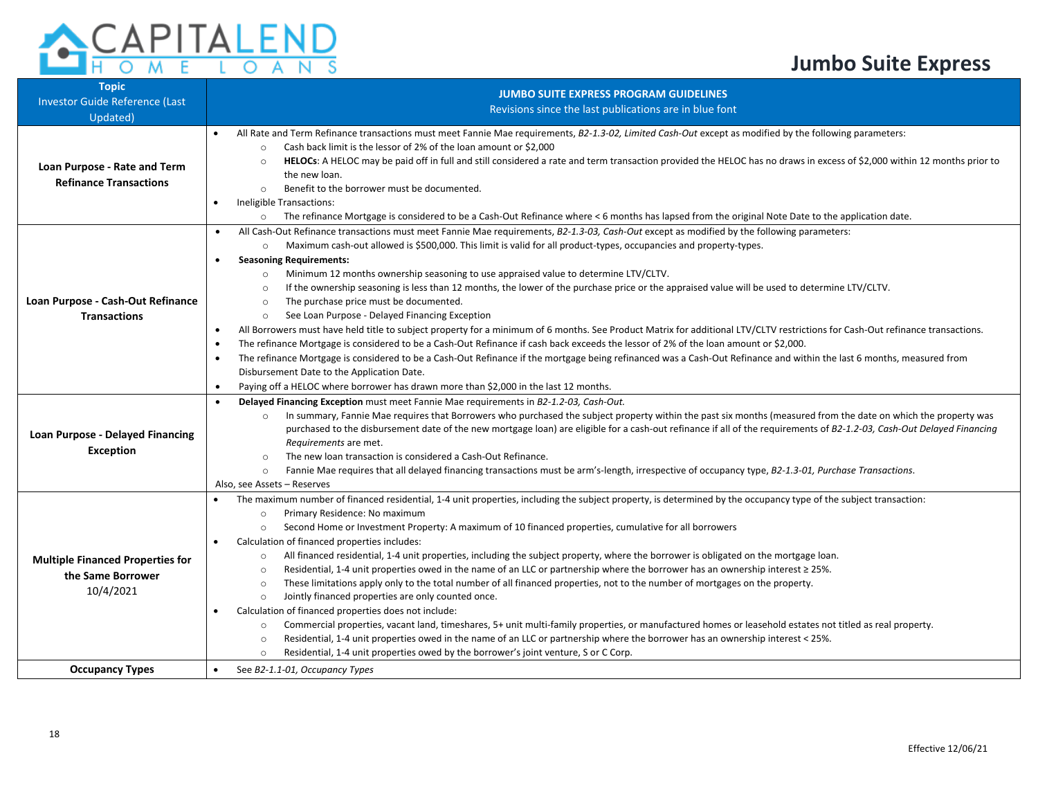#### $\circ$ A S N

| <b>Topic</b><br><b>Investor Guide Reference (Last</b><br>Updated)         | <b>JUMBO SUITE EXPRESS PROGRAM GUIDELINES</b><br>Revisions since the last publications are in blue font                                                                                                                                                                                                                                                                                                                                                                                                                                                                                                                                                                                                                                                                                                                                                                                                                                                                                                                                                                                                                                                                                                                                                                                                                                                                                                                                                                                                                                                                                                                                                                        |
|---------------------------------------------------------------------------|--------------------------------------------------------------------------------------------------------------------------------------------------------------------------------------------------------------------------------------------------------------------------------------------------------------------------------------------------------------------------------------------------------------------------------------------------------------------------------------------------------------------------------------------------------------------------------------------------------------------------------------------------------------------------------------------------------------------------------------------------------------------------------------------------------------------------------------------------------------------------------------------------------------------------------------------------------------------------------------------------------------------------------------------------------------------------------------------------------------------------------------------------------------------------------------------------------------------------------------------------------------------------------------------------------------------------------------------------------------------------------------------------------------------------------------------------------------------------------------------------------------------------------------------------------------------------------------------------------------------------------------------------------------------------------|
| Loan Purpose - Rate and Term<br><b>Refinance Transactions</b>             | All Rate and Term Refinance transactions must meet Fannie Mae requirements, B2-1.3-02, Limited Cash-Out except as modified by the following parameters:<br>$\bullet$<br>Cash back limit is the lessor of 2% of the loan amount or \$2,000<br>$\circ$<br>HELOCs: A HELOC may be paid off in full and still considered a rate and term transaction provided the HELOC has no draws in excess of \$2,000 within 12 months prior to<br>$\circ$<br>the new loan.<br>Benefit to the borrower must be documented.<br>$\circ$<br>Ineligible Transactions:<br>$\bullet$<br>The refinance Mortgage is considered to be a Cash-Out Refinance where <6 months has lapsed from the original Note Date to the application date.<br>$\circ$                                                                                                                                                                                                                                                                                                                                                                                                                                                                                                                                                                                                                                                                                                                                                                                                                                                                                                                                                   |
| Loan Purpose - Cash-Out Refinance<br><b>Transactions</b>                  | All Cash-Out Refinance transactions must meet Fannie Mae requirements, B2-1.3-03, Cash-Out except as modified by the following parameters:<br>$\bullet$<br>Maximum cash-out allowed is \$500,000. This limit is valid for all product-types, occupancies and property-types.<br>$\circ$<br><b>Seasoning Requirements:</b><br>$\bullet$<br>Minimum 12 months ownership seasoning to use appraised value to determine LTV/CLTV.<br>$\circ$<br>If the ownership seasoning is less than 12 months, the lower of the purchase price or the appraised value will be used to determine LTV/CLTV.<br>$\circ$<br>The purchase price must be documented.<br>$\circ$<br>See Loan Purpose - Delayed Financing Exception<br>$\circ$<br>All Borrowers must have held title to subject property for a minimum of 6 months. See Product Matrix for additional LTV/CLTV restrictions for Cash-Out refinance transactions.<br>$\bullet$<br>The refinance Mortgage is considered to be a Cash-Out Refinance if cash back exceeds the lessor of 2% of the loan amount or \$2,000.<br>The refinance Mortgage is considered to be a Cash-Out Refinance if the mortgage being refinanced was a Cash-Out Refinance and within the last 6 months, measured from<br>$\bullet$<br>Disbursement Date to the Application Date.<br>Paying off a HELOC where borrower has drawn more than \$2,000 in the last 12 months.<br>$\bullet$<br>Delayed Financing Exception must meet Fannie Mae requirements in B2-1.2-03, Cash-Out.<br>$\bullet$<br>In summary, Fannie Mae requires that Borrowers who purchased the subject property within the past six months (measured from the date on which the property was |
| <b>Loan Purpose - Delayed Financing</b><br>Exception                      | purchased to the disbursement date of the new mortgage loan) are eligible for a cash-out refinance if all of the requirements of B2-1.2-03, Cash-Out Delayed Financing<br>Requirements are met.<br>The new loan transaction is considered a Cash-Out Refinance.<br>$\circ$<br>Fannie Mae requires that all delayed financing transactions must be arm's-length, irrespective of occupancy type, B2-1.3-01, Purchase Transactions.<br>$\circ$<br>Also, see Assets - Reserves                                                                                                                                                                                                                                                                                                                                                                                                                                                                                                                                                                                                                                                                                                                                                                                                                                                                                                                                                                                                                                                                                                                                                                                                    |
| <b>Multiple Financed Properties for</b><br>the Same Borrower<br>10/4/2021 | The maximum number of financed residential, 1-4 unit properties, including the subject property, is determined by the occupancy type of the subject transaction:<br>Primary Residence: No maximum<br>$\circ$<br>Second Home or Investment Property: A maximum of 10 financed properties, cumulative for all borrowers<br>$\circ$<br>Calculation of financed properties includes:<br>$\bullet$<br>All financed residential, 1-4 unit properties, including the subject property, where the borrower is obligated on the mortgage loan.<br>$\circ$<br>Residential, 1-4 unit properties owed in the name of an LLC or partnership where the borrower has an ownership interest ≥ 25%.<br>$\circ$<br>These limitations apply only to the total number of all financed properties, not to the number of mortgages on the property.<br>$\circ$<br>Jointly financed properties are only counted once.<br>$\circ$<br>Calculation of financed properties does not include:<br>$\bullet$<br>Commercial properties, vacant land, timeshares, 5+ unit multi-family properties, or manufactured homes or leasehold estates not titled as real property.<br>$\circ$<br>Residential, 1-4 unit properties owed in the name of an LLC or partnership where the borrower has an ownership interest < 25%.<br>$\circ$<br>Residential, 1-4 unit properties owed by the borrower's joint venture, S or C Corp.<br>$\circ$                                                                                                                                                                                                                                                                           |
| <b>Occupancy Types</b>                                                    | See B2-1.1-01. Occupancy Types<br>$\bullet$                                                                                                                                                                                                                                                                                                                                                                                                                                                                                                                                                                                                                                                                                                                                                                                                                                                                                                                                                                                                                                                                                                                                                                                                                                                                                                                                                                                                                                                                                                                                                                                                                                    |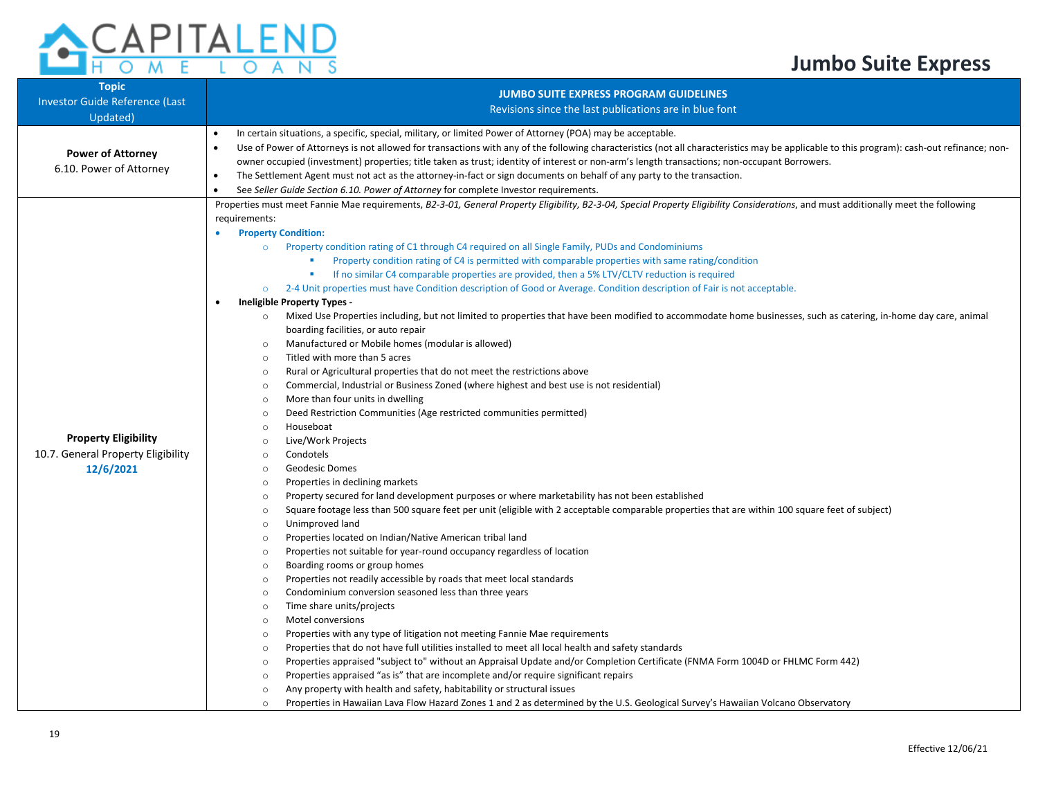| <b>Topic</b><br><b>Investor Guide Reference (Last</b>                          | <b>JUMBO SUITE EXPRESS PROGRAM GUIDELINES</b><br>Revisions since the last publications are in blue font                                                                                                                                                                                                                                                                                                                                                                                                                                                                                                                                                                                                                                                                                                                                                                                                                                                                                                                                                                                                                                                                                                                                                                                                                                                                                                                                                                                                                                                                                                                                             |
|--------------------------------------------------------------------------------|-----------------------------------------------------------------------------------------------------------------------------------------------------------------------------------------------------------------------------------------------------------------------------------------------------------------------------------------------------------------------------------------------------------------------------------------------------------------------------------------------------------------------------------------------------------------------------------------------------------------------------------------------------------------------------------------------------------------------------------------------------------------------------------------------------------------------------------------------------------------------------------------------------------------------------------------------------------------------------------------------------------------------------------------------------------------------------------------------------------------------------------------------------------------------------------------------------------------------------------------------------------------------------------------------------------------------------------------------------------------------------------------------------------------------------------------------------------------------------------------------------------------------------------------------------------------------------------------------------------------------------------------------------|
| Updated)                                                                       |                                                                                                                                                                                                                                                                                                                                                                                                                                                                                                                                                                                                                                                                                                                                                                                                                                                                                                                                                                                                                                                                                                                                                                                                                                                                                                                                                                                                                                                                                                                                                                                                                                                     |
| <b>Power of Attorney</b><br>6.10. Power of Attorney                            | In certain situations, a specific, special, military, or limited Power of Attorney (POA) may be acceptable.<br>$\bullet$<br>Use of Power of Attorneys is not allowed for transactions with any of the following characteristics (not all characteristics may be applicable to this program): cash-out refinance; non-<br>$\bullet$<br>owner occupied (investment) properties; title taken as trust; identity of interest or non-arm's length transactions; non-occupant Borrowers.<br>The Settlement Agent must not act as the attorney-in-fact or sign documents on behalf of any party to the transaction.<br>$\bullet$<br>See Seller Guide Section 6.10. Power of Attorney for complete Investor requirements.<br>$\bullet$                                                                                                                                                                                                                                                                                                                                                                                                                                                                                                                                                                                                                                                                                                                                                                                                                                                                                                                      |
|                                                                                | Properties must meet Fannie Mae requirements, B2-3-01, General Property Eligibility, B2-3-04, Special Property Eligibility Considerations, and must additionally meet the following                                                                                                                                                                                                                                                                                                                                                                                                                                                                                                                                                                                                                                                                                                                                                                                                                                                                                                                                                                                                                                                                                                                                                                                                                                                                                                                                                                                                                                                                 |
| <b>Property Eligibility</b><br>10.7. General Property Eligibility<br>12/6/2021 | requirements:<br><b>Property Condition:</b><br>Property condition rating of C1 through C4 required on all Single Family, PUDs and Condominiums<br>$\circ$<br>Property condition rating of C4 is permitted with comparable properties with same rating/condition<br>If no similar C4 comparable properties are provided, then a 5% LTV/CLTV reduction is required<br>2-4 Unit properties must have Condition description of Good or Average. Condition description of Fair is not acceptable.<br>$\circ$<br><b>Ineligible Property Types -</b><br>$\bullet$<br>Mixed Use Properties including, but not limited to properties that have been modified to accommodate home businesses, such as catering, in-home day care, animal<br>boarding facilities, or auto repair<br>Manufactured or Mobile homes (modular is allowed)<br>$\circ$<br>Titled with more than 5 acres<br>$\circ$<br>Rural or Agricultural properties that do not meet the restrictions above<br>$\circ$<br>Commercial, Industrial or Business Zoned (where highest and best use is not residential)<br>$\circ$<br>More than four units in dwelling<br>$\circ$<br>Deed Restriction Communities (Age restricted communities permitted)<br>$\circ$<br>Houseboat<br>$\circ$<br>Live/Work Projects<br>$\circ$<br>Condotels<br>$\circ$<br><b>Geodesic Domes</b><br>$\circ$<br>Properties in declining markets<br>$\circ$<br>Property secured for land development purposes or where marketability has not been established<br>$\circ$<br>Square footage less than 500 square feet per unit (eligible with 2 acceptable comparable properties that are within 100 square feet of subject) |
|                                                                                | $\circ$<br>Unimproved land<br>$\circ$<br>Properties located on Indian/Native American tribal land<br>$\circ$<br>Properties not suitable for year-round occupancy regardless of location<br>$\circ$<br>Boarding rooms or group homes<br>$\circ$<br>Properties not readily accessible by roads that meet local standards<br>$\circ$<br>Condominium conversion seasoned less than three years<br>$\circ$<br>Time share units/projects<br>$\circ$<br>Motel conversions<br>$\circ$<br>Properties with any type of litigation not meeting Fannie Mae requirements<br>$\circ$<br>Properties that do not have full utilities installed to meet all local health and safety standards<br>$\circ$<br>Properties appraised "subject to" without an Appraisal Update and/or Completion Certificate (FNMA Form 1004D or FHLMC Form 442)<br>$\circ$<br>Properties appraised "as is" that are incomplete and/or require significant repairs<br>$\circ$<br>Any property with health and safety, habitability or structural issues<br>$\circ$<br>Properties in Hawaiian Lava Flow Hazard Zones 1 and 2 as determined by the U.S. Geological Survey's Hawaiian Volcano Observatory<br>$\circ$                                                                                                                                                                                                                                                                                                                                                                                                                                                                         |

**CAPITALEND**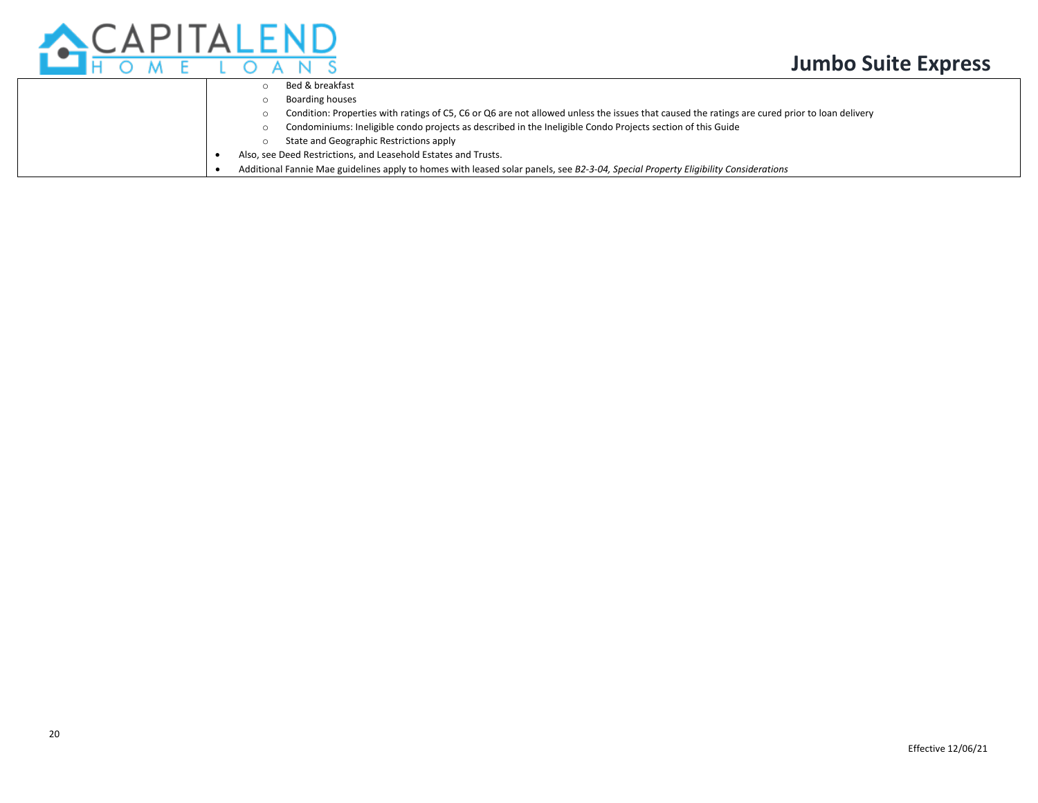



|  | Bed & breakfast                                                                                                                               |
|--|-----------------------------------------------------------------------------------------------------------------------------------------------|
|  | <b>Boarding houses</b>                                                                                                                        |
|  | Condition: Properties with ratings of C5, C6 or Q6 are not allowed unless the issues that caused the ratings are cured prior to loan delivery |
|  | Condominiums: Ineligible condo projects as described in the Ineligible Condo Projects section of this Guide                                   |
|  | State and Geographic Restrictions apply                                                                                                       |
|  | Also, see Deed Restrictions, and Leasehold Estates and Trusts.                                                                                |
|  | Additional Fannie Mae guidelines apply to homes with leased solar panels, see B2-3-04, Special Property Eligibility Considerations            |
|  |                                                                                                                                               |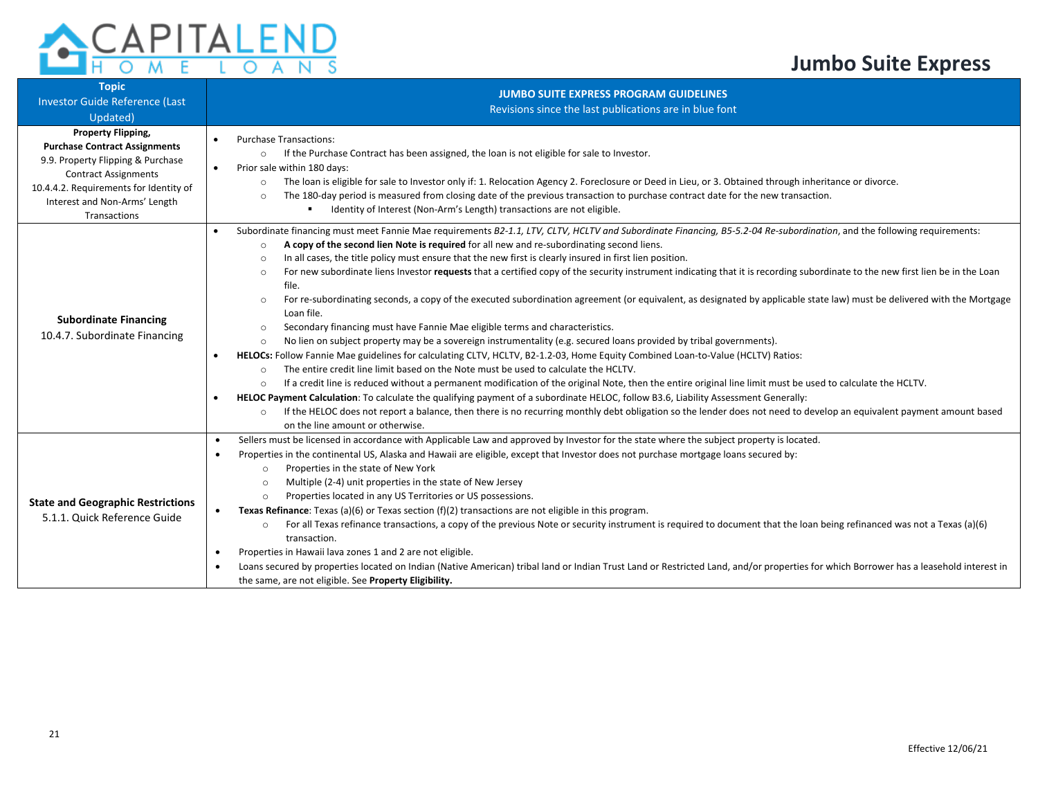

| <b>Topic</b><br><b>Investor Guide Reference (Last</b><br>Updated)                                                                                                                                                         | <b>JUMBO SUITE EXPRESS PROGRAM GUIDELINES</b><br>Revisions since the last publications are in blue font                                                                                                                                                                                                                                                                                                                                                                                                                                                                                                                                                                                                                                                                                                                                                                                                                                                                                                                                                                                                                                                                                                                                                                                                                                                                                                                                                                                                                                                                                                                                                                                                                                                                                                                                             |
|---------------------------------------------------------------------------------------------------------------------------------------------------------------------------------------------------------------------------|-----------------------------------------------------------------------------------------------------------------------------------------------------------------------------------------------------------------------------------------------------------------------------------------------------------------------------------------------------------------------------------------------------------------------------------------------------------------------------------------------------------------------------------------------------------------------------------------------------------------------------------------------------------------------------------------------------------------------------------------------------------------------------------------------------------------------------------------------------------------------------------------------------------------------------------------------------------------------------------------------------------------------------------------------------------------------------------------------------------------------------------------------------------------------------------------------------------------------------------------------------------------------------------------------------------------------------------------------------------------------------------------------------------------------------------------------------------------------------------------------------------------------------------------------------------------------------------------------------------------------------------------------------------------------------------------------------------------------------------------------------------------------------------------------------------------------------------------------------|
| Property Flipping,<br><b>Purchase Contract Assignments</b><br>9.9. Property Flipping & Purchase<br><b>Contract Assignments</b><br>10.4.4.2. Requirements for Identity of<br>Interest and Non-Arms' Length<br>Transactions | <b>Purchase Transactions:</b><br>$\bullet$<br>If the Purchase Contract has been assigned, the loan is not eligible for sale to Investor.<br>$\circ$<br>Prior sale within 180 days:<br>$\bullet$<br>The loan is eligible for sale to Investor only if: 1. Relocation Agency 2. Foreclosure or Deed in Lieu, or 3. Obtained through inheritance or divorce.<br>$\circ$<br>The 180-day period is measured from closing date of the previous transaction to purchase contract date for the new transaction.<br>$\circ$<br>Identity of Interest (Non-Arm's Length) transactions are not eligible.                                                                                                                                                                                                                                                                                                                                                                                                                                                                                                                                                                                                                                                                                                                                                                                                                                                                                                                                                                                                                                                                                                                                                                                                                                                        |
| <b>Subordinate Financing</b><br>10.4.7. Subordinate Financing                                                                                                                                                             | Subordinate financing must meet Fannie Mae requirements B2-1.1, LTV, CLTV, HCLTV and Subordinate Financing, B5-5.2-04 Re-subordination, and the following requirements:<br>$\bullet$<br>A copy of the second lien Note is required for all new and re-subordinating second liens.<br>$\circ$<br>In all cases, the title policy must ensure that the new first is clearly insured in first lien position.<br>$\circ$<br>For new subordinate liens Investor requests that a certified copy of the security instrument indicating that it is recording subordinate to the new first lien be in the Loan<br>$\circ$<br>file.<br>For re-subordinating seconds, a copy of the executed subordination agreement (or equivalent, as designated by applicable state law) must be delivered with the Mortgage<br>$\circ$<br>Loan file.<br>Secondary financing must have Fannie Mae eligible terms and characteristics.<br>$\circ$<br>No lien on subject property may be a sovereign instrumentality (e.g. secured loans provided by tribal governments).<br>$\circ$<br>HELOCs: Follow Fannie Mae guidelines for calculating CLTV, HCLTV, B2-1.2-03, Home Equity Combined Loan-to-Value (HCLTV) Ratios:<br>$\bullet$<br>The entire credit line limit based on the Note must be used to calculate the HCLTV.<br>$\circ$<br>If a credit line is reduced without a permanent modification of the original Note, then the entire original line limit must be used to calculate the HCLTV.<br>$\circ$<br>HELOC Payment Calculation: To calculate the qualifying payment of a subordinate HELOC, follow B3.6, Liability Assessment Generally:<br>If the HELOC does not report a balance, then there is no recurring monthly debt obligation so the lender does not need to develop an equivalent payment amount based<br>$\circ$<br>on the line amount or otherwise. |
| <b>State and Geographic Restrictions</b><br>5.1.1. Quick Reference Guide                                                                                                                                                  | Sellers must be licensed in accordance with Applicable Law and approved by Investor for the state where the subject property is located.<br>$\bullet$<br>Properties in the continental US, Alaska and Hawaii are eligible, except that Investor does not purchase mortgage loans secured by:<br>$\bullet$<br>Properties in the state of New York<br>$\circ$<br>Multiple (2-4) unit properties in the state of New Jersey<br>$\circ$<br>Properties located in any US Territories or US possessions.<br>$\circ$<br>Texas Refinance: Texas (a)(6) or Texas section (f)(2) transactions are not eligible in this program.<br>$\bullet$<br>For all Texas refinance transactions, a copy of the previous Note or security instrument is required to document that the loan being refinanced was not a Texas (a)(6)<br>$\circ$<br>transaction.<br>Properties in Hawaii lava zones 1 and 2 are not eligible.<br>$\bullet$<br>Loans secured by properties located on Indian (Native American) tribal land or Indian Trust Land or Restricted Land, and/or properties for which Borrower has a leasehold interest in<br>the same, are not eligible. See Property Eligibility.                                                                                                                                                                                                                                                                                                                                                                                                                                                                                                                                                                                                                                                                                 |